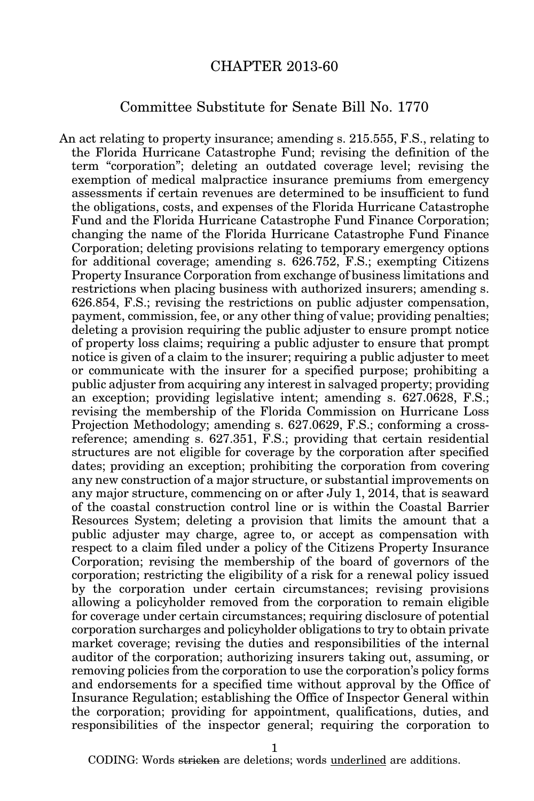## CHAPTER 2013-60

## Committee Substitute for Senate Bill No. 1770

An act relating to property insurance; amending s. 215.555, F.S., relating to the Florida Hurricane Catastrophe Fund; revising the definition of the term "corporation"; deleting an outdated coverage level; revising the exemption of medical malpractice insurance premiums from emergency assessments if certain revenues are determined to be insufficient to fund the obligations, costs, and expenses of the Florida Hurricane Catastrophe Fund and the Florida Hurricane Catastrophe Fund Finance Corporation; changing the name of the Florida Hurricane Catastrophe Fund Finance Corporation; deleting provisions relating to temporary emergency options for additional coverage; amending s. 626.752, F.S.; exempting Citizens Property Insurance Corporation from exchange of business limitations and restrictions when placing business with authorized insurers; amending s. 626.854, F.S.; revising the restrictions on public adjuster compensation, payment, commission, fee, or any other thing of value; providing penalties; deleting a provision requiring the public adjuster to ensure prompt notice of property loss claims; requiring a public adjuster to ensure that prompt notice is given of a claim to the insurer; requiring a public adjuster to meet or communicate with the insurer for a specified purpose; prohibiting a public adjuster from acquiring any interest in salvaged property; providing an exception; providing legislative intent; amending s. 627.0628, F.S.; revising the membership of the Florida Commission on Hurricane Loss Projection Methodology; amending s. 627.0629, F.S.; conforming a crossreference; amending s. 627.351, F.S.; providing that certain residential structures are not eligible for coverage by the corporation after specified dates; providing an exception; prohibiting the corporation from covering any new construction of a major structure, or substantial improvements on any major structure, commencing on or after July 1, 2014, that is seaward of the coastal construction control line or is within the Coastal Barrier Resources System; deleting a provision that limits the amount that a public adjuster may charge, agree to, or accept as compensation with respect to a claim filed under a policy of the Citizens Property Insurance Corporation; revising the membership of the board of governors of the corporation; restricting the eligibility of a risk for a renewal policy issued by the corporation under certain circumstances; revising provisions allowing a policyholder removed from the corporation to remain eligible for coverage under certain circumstances; requiring disclosure of potential corporation surcharges and policyholder obligations to try to obtain private market coverage; revising the duties and responsibilities of the internal auditor of the corporation; authorizing insurers taking out, assuming, or removing policies from the corporation to use the corporation's policy forms and endorsements for a specified time without approval by the Office of Insurance Regulation; establishing the Office of Inspector General within the corporation; providing for appointment, qualifications, duties, and responsibilities of the inspector general; requiring the corporation to

1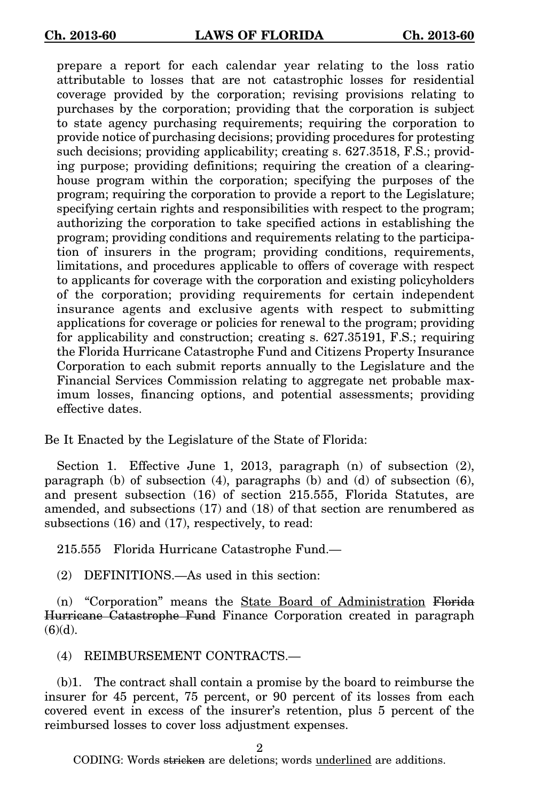prepare a report for each calendar year relating to the loss ratio attributable to losses that are not catastrophic losses for residential coverage provided by the corporation; revising provisions relating to purchases by the corporation; providing that the corporation is subject to state agency purchasing requirements; requiring the corporation to provide notice of purchasing decisions; providing procedures for protesting such decisions; providing applicability; creating s. 627.3518, F.S.; providing purpose; providing definitions; requiring the creation of a clearinghouse program within the corporation; specifying the purposes of the program; requiring the corporation to provide a report to the Legislature; specifying certain rights and responsibilities with respect to the program; authorizing the corporation to take specified actions in establishing the program; providing conditions and requirements relating to the participation of insurers in the program; providing conditions, requirements, limitations, and procedures applicable to offers of coverage with respect to applicants for coverage with the corporation and existing policyholders of the corporation; providing requirements for certain independent insurance agents and exclusive agents with respect to submitting applications for coverage or policies for renewal to the program; providing for applicability and construction; creating s. 627.35191, F.S.; requiring the Florida Hurricane Catastrophe Fund and Citizens Property Insurance Corporation to each submit reports annually to the Legislature and the Financial Services Commission relating to aggregate net probable maximum losses, financing options, and potential assessments; providing effective dates.

Be It Enacted by the Legislature of the State of Florida:

Section 1. Effective June 1, 2013, paragraph (n) of subsection (2), paragraph (b) of subsection (4), paragraphs (b) and (d) of subsection (6), and present subsection (16) of section 215.555, Florida Statutes, are amended, and subsections (17) and (18) of that section are renumbered as subsections (16) and (17), respectively, to read:

215.555 Florida Hurricane Catastrophe Fund.—

(2) DEFINITIONS.—As used in this section:

(n) "Corporation" means the State Board of Administration Florida Hurricane Catastrophe Fund Finance Corporation created in paragraph  $(6)(d)$ .

(4) REIMBURSEMENT CONTRACTS.—

(b)1. The contract shall contain a promise by the board to reimburse the insurer for 45 percent, 75 percent, or 90 percent of its losses from each covered event in excess of the insurer's retention, plus 5 percent of the reimbursed losses to cover loss adjustment expenses.

2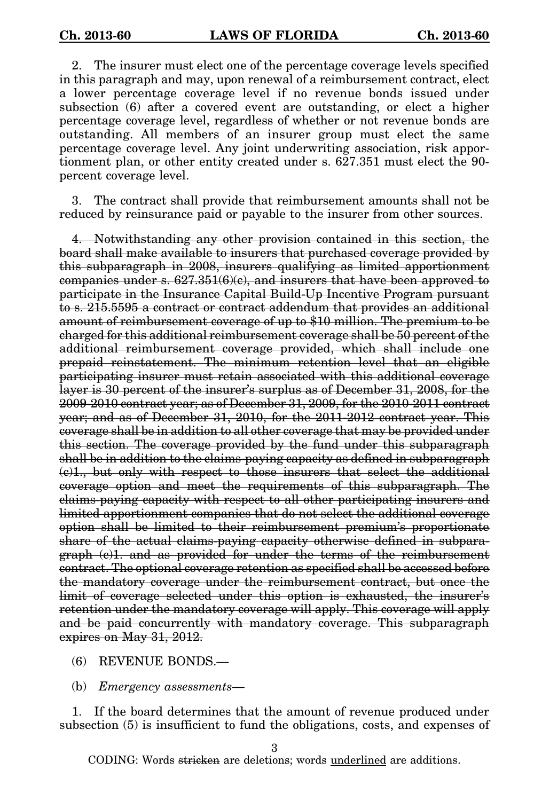2. The insurer must elect one of the percentage coverage levels specified in this paragraph and may, upon renewal of a reimbursement contract, elect a lower percentage coverage level if no revenue bonds issued under subsection (6) after a covered event are outstanding, or elect a higher percentage coverage level, regardless of whether or not revenue bonds are outstanding. All members of an insurer group must elect the same percentage coverage level. Any joint underwriting association, risk apportionment plan, or other entity created under s. 627.351 must elect the 90 percent coverage level.

3. The contract shall provide that reimbursement amounts shall not be reduced by reinsurance paid or payable to the insurer from other sources.

4. Notwithstanding any other provision contained in this section, the board shall make available to insurers that purchased coverage provided by this subparagraph in 2008, insurers qualifying as limited apportionment companies under s.  $627.351(6)(e)$ , and insurers that have been approved to participate in the Insurance Capital Build-Up Incentive Program pursuant to s. 215.5595 a contract or contract addendum that provides an additional amount of reimbursement coverage of up to \$10 million. The premium to be charged for this additional reimbursement coverage shall be 50 percent of the additional reimbursement coverage provided, which shall include one prepaid reinstatement. The minimum retention level that an eligible participating insurer must retain associated with this additional coverage layer is 30 percent of the insurer's surplus as of December 31, 2008, for the 2009-2010 contract year; as of December 31, 2009, for the 2010-2011 contract year; and as of December 31, 2010, for the 2011-2012 contract year. This coverage shall be in addition to all other coverage that may be provided under this section. The coverage provided by the fund under this subparagraph shall be in addition to the claims-paying capacity as defined in subparagraph (c)1., but only with respect to those insurers that select the additional coverage option and meet the requirements of this subparagraph. The claims-paying capacity with respect to all other participating insurers and limited apportionment companies that do not select the additional coverage option shall be limited to their reimbursement premium's proportionate share of the actual claims-paying capacity otherwise defined in subparagraph (c)1. and as provided for under the terms of the reimbursement contract. The optional coverage retention as specified shall be accessed before the mandatory coverage under the reimbursement contract, but once the limit of coverage selected under this option is exhausted, the insurer's retention under the mandatory coverage will apply. This coverage will apply and be paid concurrently with mandatory coverage. This subparagraph expires on May 31, 2012.

- (6) REVENUE BONDS.—
- (b) Emergency assessments—

1. If the board determines that the amount of revenue produced under subsection (5) is insufficient to fund the obligations, costs, and expenses of

3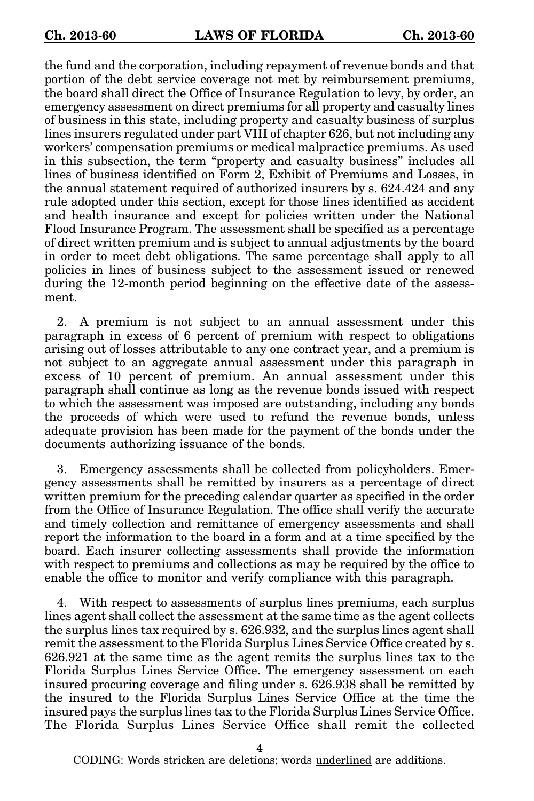the fund and the corporation, including repayment of revenue bonds and that portion of the debt service coverage not met by reimbursement premiums, the board shall direct the Office of Insurance Regulation to levy, by order, an emergency assessment on direct premiums for all property and casualty lines of business in this state, including property and casualty business of surplus lines insurers regulated under part VIII of chapter 626, but not including any workers' compensation premiums or medical malpractice premiums. As used in this subsection, the term "property and casualty business" includes all lines of business identified on Form 2, Exhibit of Premiums and Losses, in the annual statement required of authorized insurers by s. 624.424 and any rule adopted under this section, except for those lines identified as accident and health insurance and except for policies written under the National Flood Insurance Program. The assessment shall be specified as a percentage of direct written premium and is subject to annual adjustments by the board in order to meet debt obligations. The same percentage shall apply to all policies in lines of business subject to the assessment issued or renewed during the 12-month period beginning on the effective date of the assessment.

2. A premium is not subject to an annual assessment under this paragraph in excess of 6 percent of premium with respect to obligations arising out of losses attributable to any one contract year, and a premium is not subject to an aggregate annual assessment under this paragraph in excess of 10 percent of premium. An annual assessment under this paragraph shall continue as long as the revenue bonds issued with respect to which the assessment was imposed are outstanding, including any bonds the proceeds of which were used to refund the revenue bonds, unless adequate provision has been made for the payment of the bonds under the documents authorizing issuance of the bonds.

3. Emergency assessments shall be collected from policyholders. Emergency assessments shall be remitted by insurers as a percentage of direct written premium for the preceding calendar quarter as specified in the order from the Office of Insurance Regulation. The office shall verify the accurate and timely collection and remittance of emergency assessments and shall report the information to the board in a form and at a time specified by the board. Each insurer collecting assessments shall provide the information with respect to premiums and collections as may be required by the office to enable the office to monitor and verify compliance with this paragraph.

4. With respect to assessments of surplus lines premiums, each surplus lines agent shall collect the assessment at the same time as the agent collects the surplus lines tax required by s. 626.932, and the surplus lines agent shall remit the assessment to the Florida Surplus Lines Service Office created by s. 626.921 at the same time as the agent remits the surplus lines tax to the Florida Surplus Lines Service Office. The emergency assessment on each insured procuring coverage and filing under s. 626.938 shall be remitted by the insured to the Florida Surplus Lines Service Office at the time the insured pays the surplus lines tax to the Florida Surplus Lines Service Office. The Florida Surplus Lines Service Office shall remit the collected

4

CODING: Words <del>stricken</del> are deletions; words <u>underlined</u> are additions.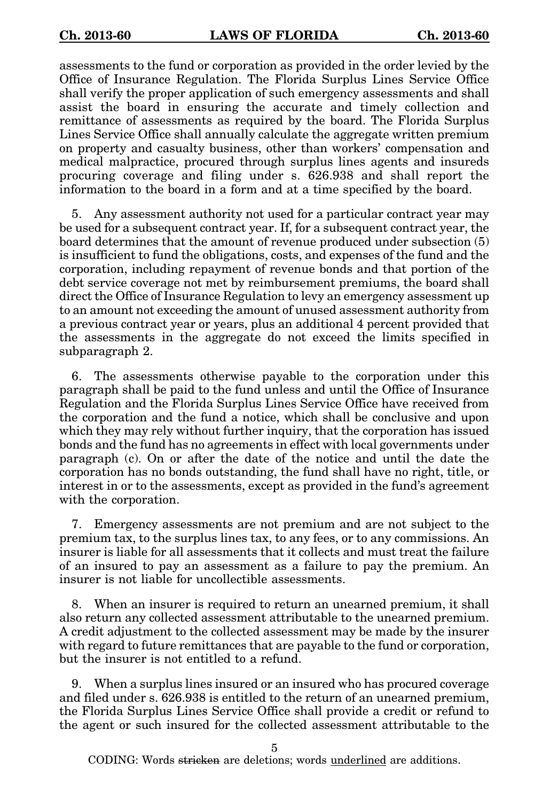assessments to the fund or corporation as provided in the order levied by the Office of Insurance Regulation. The Florida Surplus Lines Service Office shall verify the proper application of such emergency assessments and shall assist the board in ensuring the accurate and timely collection and remittance of assessments as required by the board. The Florida Surplus Lines Service Office shall annually calculate the aggregate written premium on property and casualty business, other than workers' compensation and medical malpractice, procured through surplus lines agents and insureds procuring coverage and filing under s. 626.938 and shall report the information to the board in a form and at a time specified by the board.

5. Any assessment authority not used for a particular contract year may be used for a subsequent contract year. If, for a subsequent contract year, the board determines that the amount of revenue produced under subsection (5) is insufficient to fund the obligations, costs, and expenses of the fund and the corporation, including repayment of revenue bonds and that portion of the debt service coverage not met by reimbursement premiums, the board shall direct the Office of Insurance Regulation to levy an emergency assessment up to an amount not exceeding the amount of unused assessment authority from a previous contract year or years, plus an additional 4 percent provided that the assessments in the aggregate do not exceed the limits specified in subparagraph 2.

6. The assessments otherwise payable to the corporation under this paragraph shall be paid to the fund unless and until the Office of Insurance Regulation and the Florida Surplus Lines Service Office have received from the corporation and the fund a notice, which shall be conclusive and upon which they may rely without further inquiry, that the corporation has issued bonds and the fund has no agreements in effect with local governments under paragraph (c). On or after the date of the notice and until the date the corporation has no bonds outstanding, the fund shall have no right, title, or interest in or to the assessments, except as provided in the fund's agreement with the corporation.

7. Emergency assessments are not premium and are not subject to the premium tax, to the surplus lines tax, to any fees, or to any commissions. An insurer is liable for all assessments that it collects and must treat the failure of an insured to pay an assessment as a failure to pay the premium. An insurer is not liable for uncollectible assessments.

8. When an insurer is required to return an unearned premium, it shall also return any collected assessment attributable to the unearned premium. A credit adjustment to the collected assessment may be made by the insurer with regard to future remittances that are payable to the fund or corporation, but the insurer is not entitled to a refund.

9. When a surplus lines insured or an insured who has procured coverage and filed under s. 626.938 is entitled to the return of an unearned premium, the Florida Surplus Lines Service Office shall provide a credit or refund to the agent or such insured for the collected assessment attributable to the

5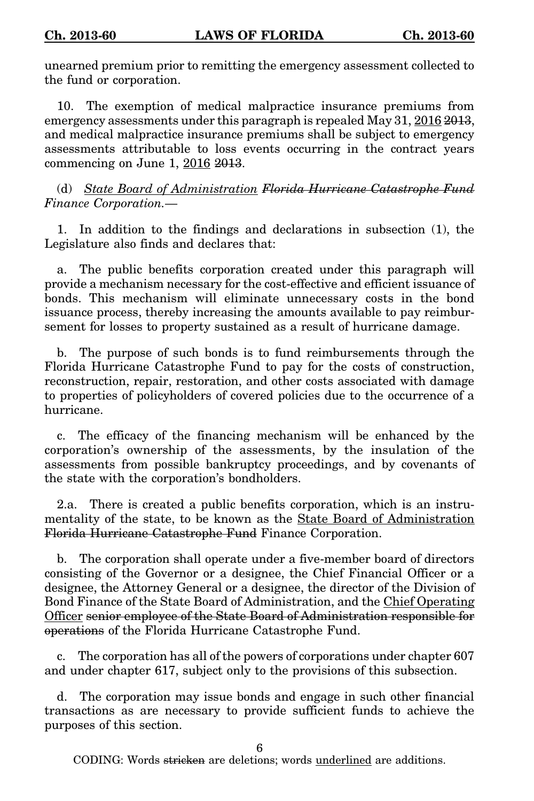unearned premium prior to remitting the emergency assessment collected to the fund or corporation.

10. The exemption of medical malpractice insurance premiums from emergency assessments under this paragraph is repealed May 31, 2016 2013, and medical malpractice insurance premiums shall be subject to emergency assessments attributable to loss events occurring in the contract years commencing on June 1, 2016 2013.

(d) State Board of Administration Florida Hurricane Catastrophe Fund Finance Corporation.—

1. In addition to the findings and declarations in subsection (1), the Legislature also finds and declares that:

a. The public benefits corporation created under this paragraph will provide a mechanism necessary for the cost-effective and efficient issuance of bonds. This mechanism will eliminate unnecessary costs in the bond issuance process, thereby increasing the amounts available to pay reimbursement for losses to property sustained as a result of hurricane damage.

b. The purpose of such bonds is to fund reimbursements through the Florida Hurricane Catastrophe Fund to pay for the costs of construction, reconstruction, repair, restoration, and other costs associated with damage to properties of policyholders of covered policies due to the occurrence of a hurricane.

c. The efficacy of the financing mechanism will be enhanced by the corporation's ownership of the assessments, by the insulation of the assessments from possible bankruptcy proceedings, and by covenants of the state with the corporation's bondholders.

2.a. There is created a public benefits corporation, which is an instrumentality of the state, to be known as the State Board of Administration Florida Hurricane Catastrophe Fund Finance Corporation.

b. The corporation shall operate under a five-member board of directors consisting of the Governor or a designee, the Chief Financial Officer or a designee, the Attorney General or a designee, the director of the Division of Bond Finance of the State Board of Administration, and the Chief Operating Officer senior employee of the State Board of Administration responsible for operations of the Florida Hurricane Catastrophe Fund.

c. The corporation has all of the powers of corporations under chapter 607 and under chapter 617, subject only to the provisions of this subsection.

d. The corporation may issue bonds and engage in such other financial transactions as are necessary to provide sufficient funds to achieve the purposes of this section.

6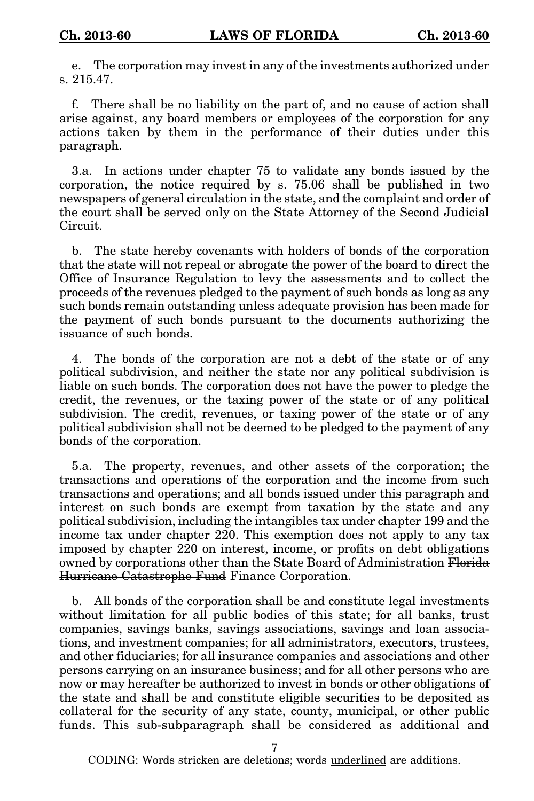e. The corporation may invest in any of the investments authorized under s. 215.47.

f. There shall be no liability on the part of, and no cause of action shall arise against, any board members or employees of the corporation for any actions taken by them in the performance of their duties under this paragraph.

3.a. In actions under chapter 75 to validate any bonds issued by the corporation, the notice required by s. 75.06 shall be published in two newspapers of general circulation in the state, and the complaint and order of the court shall be served only on the State Attorney of the Second Judicial Circuit.

b. The state hereby covenants with holders of bonds of the corporation that the state will not repeal or abrogate the power of the board to direct the Office of Insurance Regulation to levy the assessments and to collect the proceeds of the revenues pledged to the payment of such bonds as long as any such bonds remain outstanding unless adequate provision has been made for the payment of such bonds pursuant to the documents authorizing the issuance of such bonds.

4. The bonds of the corporation are not a debt of the state or of any political subdivision, and neither the state nor any political subdivision is liable on such bonds. The corporation does not have the power to pledge the credit, the revenues, or the taxing power of the state or of any political subdivision. The credit, revenues, or taxing power of the state or of any political subdivision shall not be deemed to be pledged to the payment of any bonds of the corporation.

5.a. The property, revenues, and other assets of the corporation; the transactions and operations of the corporation and the income from such transactions and operations; and all bonds issued under this paragraph and interest on such bonds are exempt from taxation by the state and any political subdivision, including the intangibles tax under chapter 199 and the income tax under chapter 220. This exemption does not apply to any tax imposed by chapter 220 on interest, income, or profits on debt obligations owned by corporations other than the State Board of Administration Florida Hurricane Catastrophe Fund Finance Corporation.

b. All bonds of the corporation shall be and constitute legal investments without limitation for all public bodies of this state; for all banks, trust companies, savings banks, savings associations, savings and loan associations, and investment companies; for all administrators, executors, trustees, and other fiduciaries; for all insurance companies and associations and other persons carrying on an insurance business; and for all other persons who are now or may hereafter be authorized to invest in bonds or other obligations of the state and shall be and constitute eligible securities to be deposited as collateral for the security of any state, county, municipal, or other public funds. This sub-subparagraph shall be considered as additional and

7

CODING: Words <del>stricken</del> are deletions; words <u>underlined</u> are additions.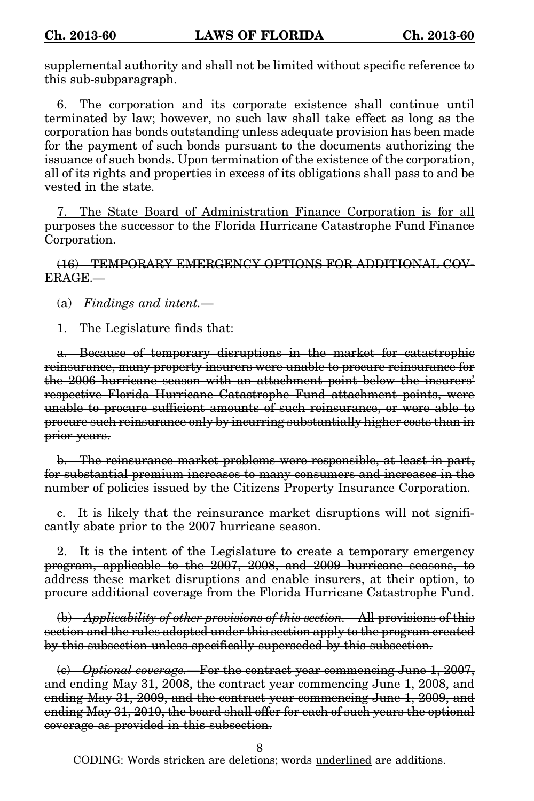supplemental authority and shall not be limited without specific reference to this sub-subparagraph.

6. The corporation and its corporate existence shall continue until terminated by law; however, no such law shall take effect as long as the corporation has bonds outstanding unless adequate provision has been made for the payment of such bonds pursuant to the documents authorizing the issuance of such bonds. Upon termination of the existence of the corporation, all of its rights and properties in excess of its obligations shall pass to and be vested in the state.

7. The State Board of Administration Finance Corporation is for all purposes the successor to the Florida Hurricane Catastrophe Fund Finance Corporation.

(16) TEMPORARY EMERGENCY OPTIONS FOR ADDITIONAL COV-ERAGE.—

(a) Findings and intent.—

1. The Legislature finds that:

a. Because of temporary disruptions in the market for catastrophic reinsurance, many property insurers were unable to procure reinsurance for the 2006 hurricane season with an attachment point below the insurers' respective Florida Hurricane Catastrophe Fund attachment points, were unable to procure sufficient amounts of such reinsurance, or were able to procure such reinsurance only by incurring substantially higher costs than in prior years.

b. The reinsurance market problems were responsible, at least in part, for substantial premium increases to many consumers and increases in the number of policies issued by the Citizens Property Insurance Corporation.

c. It is likely that the reinsurance market disruptions will not significantly abate prior to the 2007 hurricane season.

2. It is the intent of the Legislature to create a temporary emergency program, applicable to the 2007, 2008, and 2009 hurricane seasons, to address these market disruptions and enable insurers, at their option, to procure additional coverage from the Florida Hurricane Catastrophe Fund.

(b) Applicability of other provisions of this section.—All provisions of this section and the rules adopted under this section apply to the program created by this subsection unless specifically superseded by this subsection.

(c) Optional coverage.—For the contract year commencing June 1, 2007, and ending May 31, 2008, the contract year commencing June 1, 2008, and ending May 31, 2009, and the contract year commencing June 1, 2009, and ending May 31, 2010, the board shall offer for each of such years the optional coverage as provided in this subsection.

8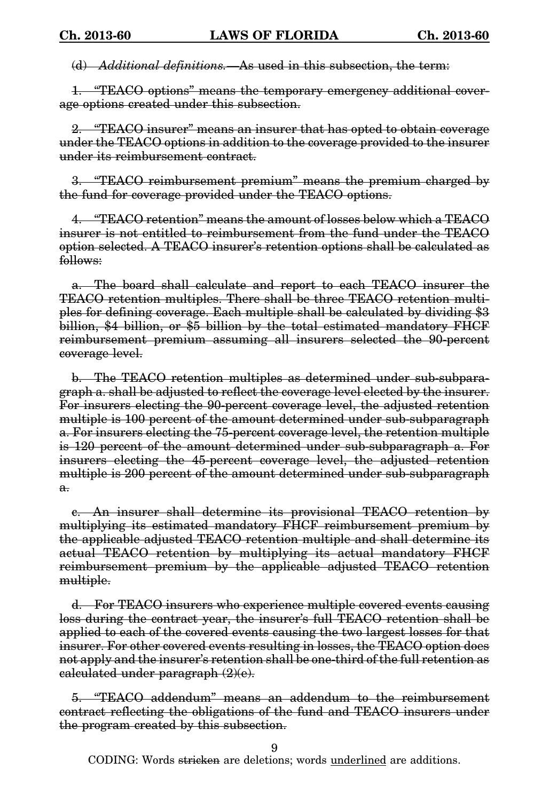(d) Additional definitions. As used in this subsection, the term:

1. "TEACO options" means the temporary emergency additional coverage options created under this subsection.

2. "TEACO insurer" means an insurer that has opted to obtain coverage under the TEACO options in addition to the coverage provided to the insurer under its reimbursement contract.

3. "TEACO reimbursement premium" means the premium charged by the fund for coverage provided under the TEACO options.

4. "TEACO retention" means the amount of losses below which a TEACO insurer is not entitled to reimbursement from the fund under the TEACO option selected. A TEACO insurer's retention options shall be calculated as follows:

a. The board shall calculate and report to each TEACO insurer the TEACO retention multiples. There shall be three TEACO retention multiples for defining coverage. Each multiple shall be calculated by dividing \$3 billion, \$4 billion, or \$5 billion by the total estimated mandatory FHCF reimbursement premium assuming all insurers selected the 90-percent coverage level.

b. The TEACO retention multiples as determined under sub-subparagraph a. shall be adjusted to reflect the coverage level elected by the insurer. For insurers electing the 90-percent coverage level, the adjusted retention multiple is 100 percent of the amount determined under sub-subparagraph a. For insurers electing the 75-percent coverage level, the retention multiple is 120 percent of the amount determined under sub-subparagraph a. For insurers electing the 45-percent coverage level, the adjusted retention multiple is 200 percent of the amount determined under sub-subparagraph a.

c. An insurer shall determine its provisional TEACO retention by multiplying its estimated mandatory FHCF reimbursement premium by the applicable adjusted TEACO retention multiple and shall determine its actual TEACO retention by multiplying its actual mandatory FHCF reimbursement premium by the applicable adjusted TEACO retention multiple.

d. For TEACO insurers who experience multiple covered events causing loss during the contract year, the insurer's full TEACO retention shall be applied to each of the covered events causing the two largest losses for that insurer. For other covered events resulting in losses, the TEACO option does not apply and the insurer's retention shall be one-third of the full retention as calculated under paragraph (2)(e).

5. "TEACO addendum" means an addendum to the reimbursement contract reflecting the obligations of the fund and TEACO insurers under the program created by this subsection.

9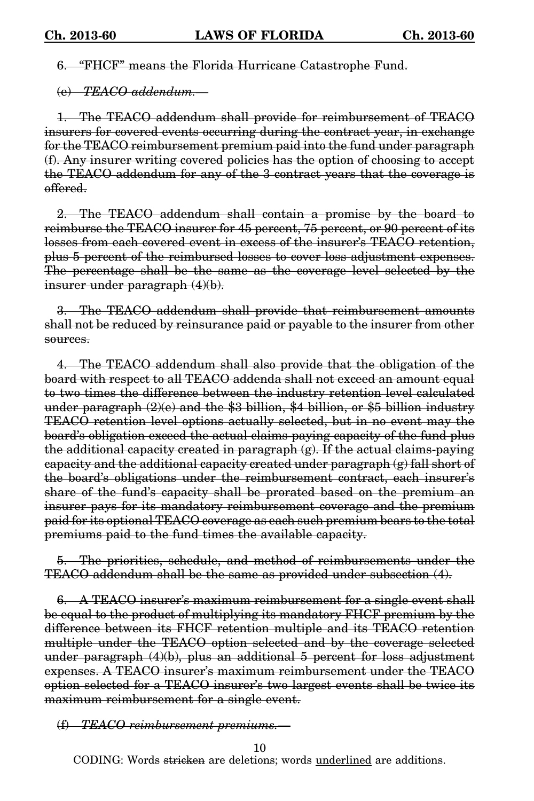6. "FHCF" means the Florida Hurricane Catastrophe Fund.

(e) TEACO addendum.—

1. The TEACO addendum shall provide for reimbursement of TEACO insurers for covered events occurring during the contract year, in exchange for the TEACO reimbursement premium paid into the fund under paragraph (f). Any insurer writing covered policies has the option of choosing to accept the TEACO addendum for any of the 3 contract years that the coverage is offered.

2. The TEACO addendum shall contain a promise by the board to reimburse the TEACO insurer for 45 percent, 75 percent, or 90 percent of its losses from each covered event in excess of the insurer's TEACO retention, plus 5 percent of the reimbursed losses to cover loss adjustment expenses. The percentage shall be the same as the coverage level selected by the insurer under paragraph (4)(b).

3. The TEACO addendum shall provide that reimbursement amounts shall not be reduced by reinsurance paid or payable to the insurer from other sources.

4. The TEACO addendum shall also provide that the obligation of the board with respect to all TEACO addenda shall not exceed an amount equal to two times the difference between the industry retention level calculated under paragraph (2)(e) and the \$3 billion, \$4 billion, or \$5 billion industry TEACO retention level options actually selected, but in no event may the board's obligation exceed the actual claims-paying capacity of the fund plus the additional capacity created in paragraph (g). If the actual claims-paying capacity and the additional capacity created under paragraph (g) fall short of the board's obligations under the reimbursement contract, each insurer's share of the fund's capacity shall be prorated based on the premium an insurer pays for its mandatory reimbursement coverage and the premium paid for its optional TEACO coverage as each such premium bears to the total premiums paid to the fund times the available capacity.

5. The priorities, schedule, and method of reimbursements under the TEACO addendum shall be the same as provided under subsection (4).

A TEACO insurer's maximum reimbursement for a single event shall be equal to the product of multiplying its mandatory FHCF premium by the difference between its FHCF retention multiple and its TEACO retention multiple under the TEACO option selected and by the coverage selected under paragraph (4)(b), plus an additional 5 percent for loss adjustment expenses. A TEACO insurer's maximum reimbursement under the TEACO option selected for a TEACO insurer's two largest events shall be twice its maximum reimbursement for a single event.

(f) TEACO reimbursement premiums.—

10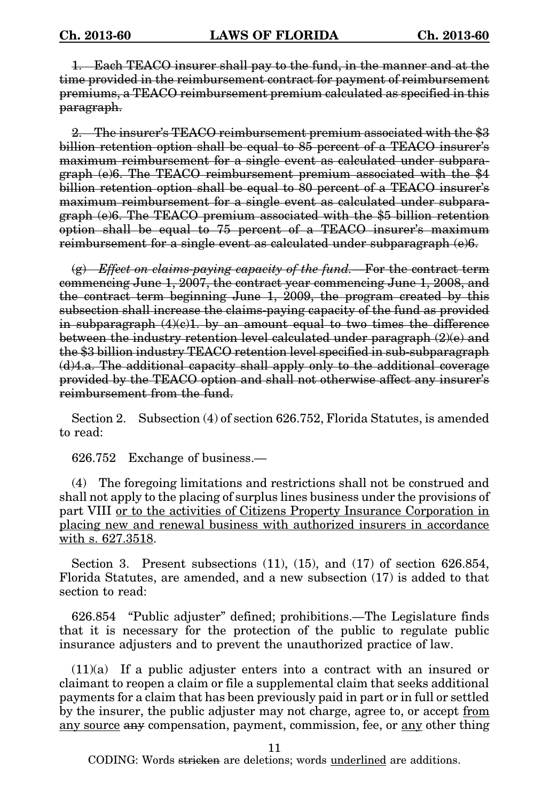1. Each TEACO insurer shall pay to the fund, in the manner and at the time provided in the reimbursement contract for payment of reimbursement premiums, a TEACO reimbursement premium calculated as specified in this paragraph.

2. The insurer's TEACO reimbursement premium associated with the \$3 billion retention option shall be equal to 85 percent of a TEACO insurer's maximum reimbursement for a single event as calculated under subparagraph (e)6. The TEACO reimbursement premium associated with the \$4 billion retention option shall be equal to 80 percent of a TEACO insurer's maximum reimbursement for a single event as calculated under subparagraph (e)6. The TEACO premium associated with the \$5 billion retention option shall be equal to 75 percent of a TEACO insurer's maximum reimbursement for a single event as calculated under subparagraph (e)6.

 $\overline{g}(g)$  Effect on claims-paying capacity of the fund.—For the contract term commencing June 1, 2007, the contract year commencing June 1, 2008, and the contract term beginning June 1, 2009, the program created by this subsection shall increase the claims-paying capacity of the fund as provided in subparagraph  $(4)(e)1$ , by an amount equal to two times the difference between the industry retention level calculated under paragraph (2)(e) and the \$3 billion industry TEACO retention level specified in sub-subparagraph (d)4.a. The additional capacity shall apply only to the additional coverage provided by the TEACO option and shall not otherwise affect any insurer's reimbursement from the fund.

Section 2. Subsection (4) of section 626.752, Florida Statutes, is amended to read:

626.752 Exchange of business.—

(4) The foregoing limitations and restrictions shall not be construed and shall not apply to the placing of surplus lines business under the provisions of part VIII or to the activities of Citizens Property Insurance Corporation in placing new and renewal business with authorized insurers in accordance with s. 627.3518.

Section 3. Present subsections (11), (15), and (17) of section 626.854, Florida Statutes, are amended, and a new subsection (17) is added to that section to read:

626.854 "Public adjuster" defined; prohibitions.—The Legislature finds that it is necessary for the protection of the public to regulate public insurance adjusters and to prevent the unauthorized practice of law.

(11)(a) If a public adjuster enters into a contract with an insured or claimant to reopen a claim or file a supplemental claim that seeks additional payments for a claim that has been previously paid in part or in full or settled by the insurer, the public adjuster may not charge, agree to, or accept from any source any compensation, payment, commission, fee, or any other thing

11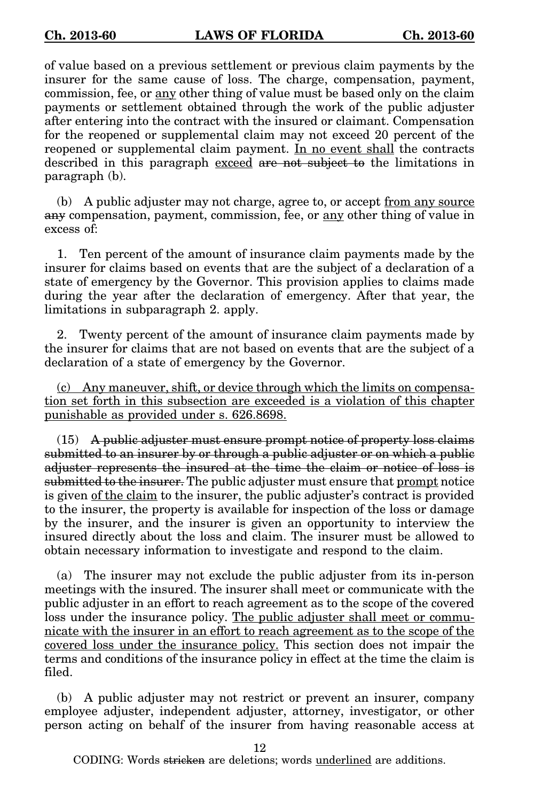of value based on a previous settlement or previous claim payments by the insurer for the same cause of loss. The charge, compensation, payment, commission, fee, or any other thing of value must be based only on the claim payments or settlement obtained through the work of the public adjuster after entering into the contract with the insured or claimant. Compensation for the reopened or supplemental claim may not exceed 20 percent of the reopened or supplemental claim payment. In no event shall the contracts described in this paragraph exceed are not subject to the limitations in paragraph (b).

(b) A public adjuster may not charge, agree to, or accept from any source any compensation, payment, commission, fee, or <u>any</u> other thing of value in excess of:

1. Ten percent of the amount of insurance claim payments made by the insurer for claims based on events that are the subject of a declaration of a state of emergency by the Governor. This provision applies to claims made during the year after the declaration of emergency. After that year, the limitations in subparagraph 2. apply.

2. Twenty percent of the amount of insurance claim payments made by the insurer for claims that are not based on events that are the subject of a declaration of a state of emergency by the Governor.

(c) Any maneuver, shift, or device through which the limits on compensation set forth in this subsection are exceeded is a violation of this chapter punishable as provided under s. 626.8698.

(15) A public adjuster must ensure prompt notice of property loss claims submitted to an insurer by or through a public adjuster or on which a public adjuster represents the insured at the time the claim or notice of loss is submitted to the insurer. The public adjuster must ensure that prompt notice is given of the claim to the insurer, the public adjuster's contract is provided to the insurer, the property is available for inspection of the loss or damage by the insurer, and the insurer is given an opportunity to interview the insured directly about the loss and claim. The insurer must be allowed to obtain necessary information to investigate and respond to the claim.

(a) The insurer may not exclude the public adjuster from its in-person meetings with the insured. The insurer shall meet or communicate with the public adjuster in an effort to reach agreement as to the scope of the covered loss under the insurance policy. The public adjuster shall meet or communicate with the insurer in an effort to reach agreement as to the scope of the covered loss under the insurance policy. This section does not impair the terms and conditions of the insurance policy in effect at the time the claim is filed.

(b) A public adjuster may not restrict or prevent an insurer, company employee adjuster, independent adjuster, attorney, investigator, or other person acting on behalf of the insurer from having reasonable access at

12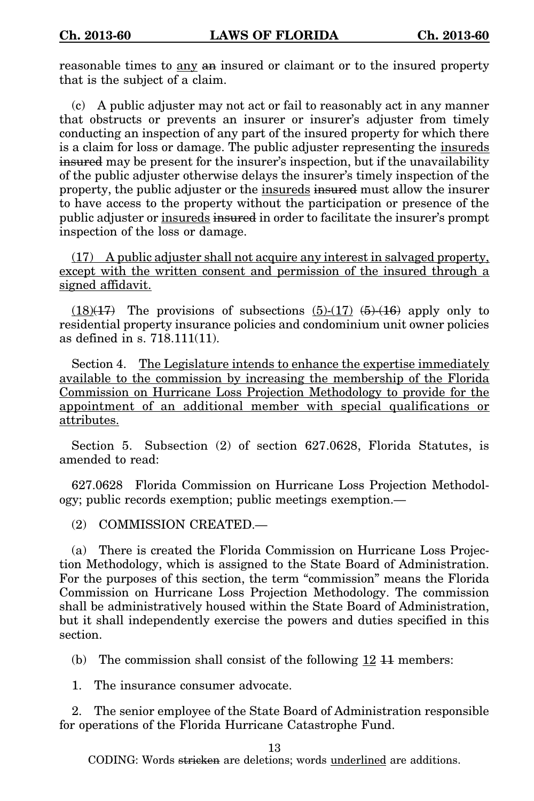reasonable times to any an insured or claimant or to the insured property that is the subject of a claim.

(c) A public adjuster may not act or fail to reasonably act in any manner that obstructs or prevents an insurer or insurer's adjuster from timely conducting an inspection of any part of the insured property for which there is a claim for loss or damage. The public adjuster representing the insureds insured may be present for the insurer's inspection, but if the unavailability of the public adjuster otherwise delays the insurer's timely inspection of the property, the public adjuster or the insureds insured must allow the insurer to have access to the property without the participation or presence of the public adjuster or insureds insured in order to facilitate the insurer's prompt inspection of the loss or damage.

(17) A public adjuster shall not acquire any interest in salvaged property, except with the written consent and permission of the insured through a signed affidavit.

 $(18)(17)$  The provisions of subsections  $(5)-(17)$   $(5)-(16)$  apply only to residential property insurance policies and condominium unit owner policies as defined in s. 718.111(11).

Section 4. The Legislature intends to enhance the expertise immediately available to the commission by increasing the membership of the Florida Commission on Hurricane Loss Projection Methodology to provide for the appointment of an additional member with special qualifications or attributes.

Section 5. Subsection (2) of section 627.0628, Florida Statutes, is amended to read:

627.0628 Florida Commission on Hurricane Loss Projection Methodology; public records exemption; public meetings exemption.—

(2) COMMISSION CREATED.—

(a) There is created the Florida Commission on Hurricane Loss Projection Methodology, which is assigned to the State Board of Administration. For the purposes of this section, the term "commission" means the Florida Commission on Hurricane Loss Projection Methodology. The commission shall be administratively housed within the State Board of Administration, but it shall independently exercise the powers and duties specified in this section.

(b) The commission shall consist of the following 12 11 members:

1. The insurance consumer advocate.

2. The senior employee of the State Board of Administration responsible for operations of the Florida Hurricane Catastrophe Fund.

13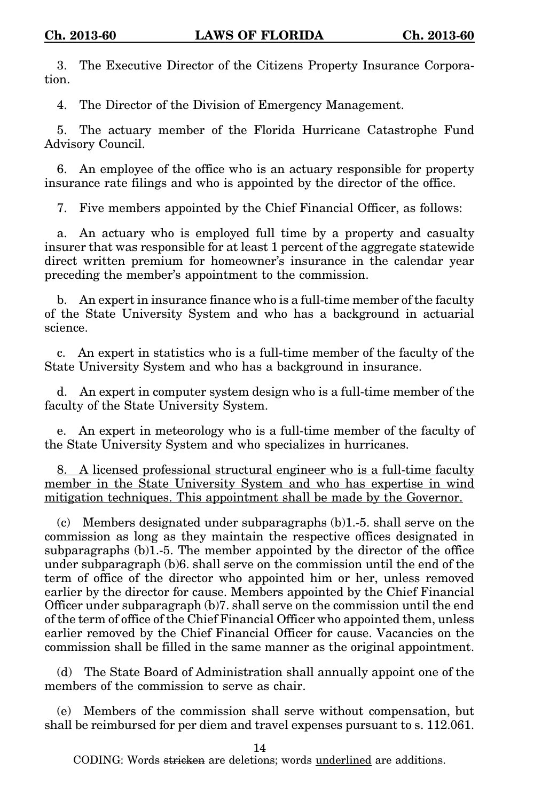3. The Executive Director of the Citizens Property Insurance Corporation.

4. The Director of the Division of Emergency Management.

5. The actuary member of the Florida Hurricane Catastrophe Fund Advisory Council.

6. An employee of the office who is an actuary responsible for property insurance rate filings and who is appointed by the director of the office.

7. Five members appointed by the Chief Financial Officer, as follows:

a. An actuary who is employed full time by a property and casualty insurer that was responsible for at least 1 percent of the aggregate statewide direct written premium for homeowner's insurance in the calendar year preceding the member's appointment to the commission.

b. An expert in insurance finance who is a full-time member of the faculty of the State University System and who has a background in actuarial science.

c. An expert in statistics who is a full-time member of the faculty of the State University System and who has a background in insurance.

d. An expert in computer system design who is a full-time member of the faculty of the State University System.

e. An expert in meteorology who is a full-time member of the faculty of the State University System and who specializes in hurricanes.

8. A licensed professional structural engineer who is a full-time faculty member in the State University System and who has expertise in wind mitigation techniques. This appointment shall be made by the Governor.

(c) Members designated under subparagraphs (b)1.-5. shall serve on the commission as long as they maintain the respective offices designated in subparagraphs (b)1.-5. The member appointed by the director of the office under subparagraph (b)6. shall serve on the commission until the end of the term of office of the director who appointed him or her, unless removed earlier by the director for cause. Members appointed by the Chief Financial Officer under subparagraph (b)7. shall serve on the commission until the end of the term of office of the Chief Financial Officer who appointed them, unless earlier removed by the Chief Financial Officer for cause. Vacancies on the commission shall be filled in the same manner as the original appointment.

(d) The State Board of Administration shall annually appoint one of the members of the commission to serve as chair.

(e) Members of the commission shall serve without compensation, but shall be reimbursed for per diem and travel expenses pursuant to s. 112.061.

14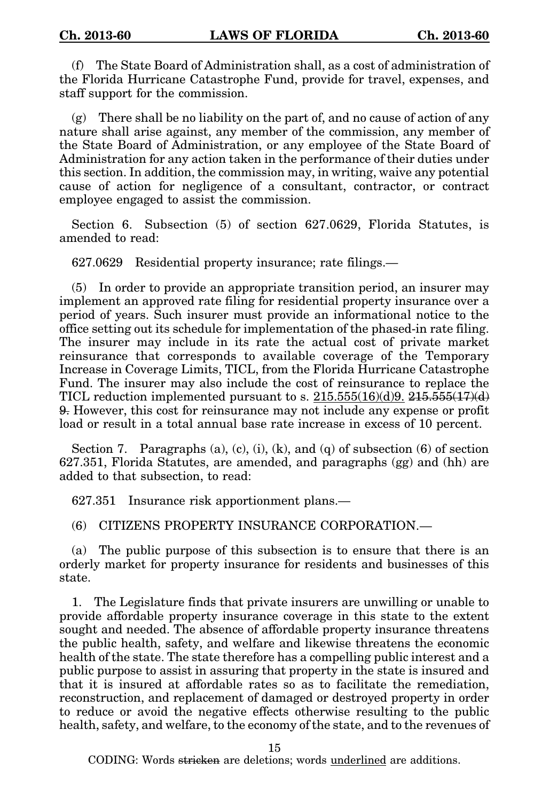(f) The State Board of Administration shall, as a cost of administration of the Florida Hurricane Catastrophe Fund, provide for travel, expenses, and staff support for the commission.

(g) There shall be no liability on the part of, and no cause of action of any nature shall arise against, any member of the commission, any member of the State Board of Administration, or any employee of the State Board of Administration for any action taken in the performance of their duties under this section. In addition, the commission may, in writing, waive any potential cause of action for negligence of a consultant, contractor, or contract employee engaged to assist the commission.

Section 6. Subsection (5) of section 627.0629, Florida Statutes, is amended to read:

627.0629 Residential property insurance; rate filings.—

(5) In order to provide an appropriate transition period, an insurer may implement an approved rate filing for residential property insurance over a period of years. Such insurer must provide an informational notice to the office setting out its schedule for implementation of the phased-in rate filing. The insurer may include in its rate the actual cost of private market reinsurance that corresponds to available coverage of the Temporary Increase in Coverage Limits, TICL, from the Florida Hurricane Catastrophe Fund. The insurer may also include the cost of reinsurance to replace the TICL reduction implemented pursuant to s.  $215.555(16)(d)9$ .  $215.555(17)(d)$ 9. However, this cost for reinsurance may not include any expense or profit load or result in a total annual base rate increase in excess of 10 percent.

Section 7. Paragraphs (a), (c), (i), (k), and (q) of subsection  $(6)$  of section 627.351, Florida Statutes, are amended, and paragraphs (gg) and (hh) are added to that subsection, to read:

627.351 Insurance risk apportionment plans.—

(6) CITIZENS PROPERTY INSURANCE CORPORATION.—

(a) The public purpose of this subsection is to ensure that there is an orderly market for property insurance for residents and businesses of this state.

1. The Legislature finds that private insurers are unwilling or unable to provide affordable property insurance coverage in this state to the extent sought and needed. The absence of affordable property insurance threatens the public health, safety, and welfare and likewise threatens the economic health of the state. The state therefore has a compelling public interest and a public purpose to assist in assuring that property in the state is insured and that it is insured at affordable rates so as to facilitate the remediation, reconstruction, and replacement of damaged or destroyed property in order to reduce or avoid the negative effects otherwise resulting to the public health, safety, and welfare, to the economy of the state, and to the revenues of

15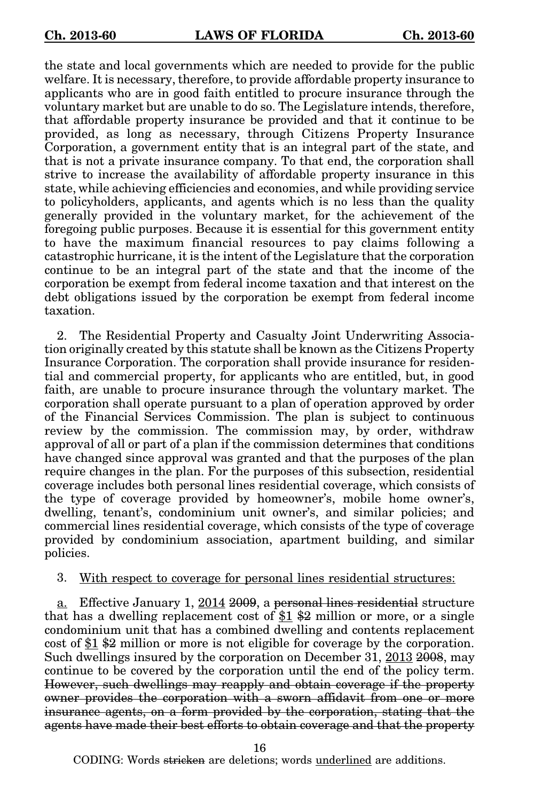the state and local governments which are needed to provide for the public welfare. It is necessary, therefore, to provide affordable property insurance to applicants who are in good faith entitled to procure insurance through the voluntary market but are unable to do so. The Legislature intends, therefore, that affordable property insurance be provided and that it continue to be provided, as long as necessary, through Citizens Property Insurance Corporation, a government entity that is an integral part of the state, and that is not a private insurance company. To that end, the corporation shall strive to increase the availability of affordable property insurance in this state, while achieving efficiencies and economies, and while providing service to policyholders, applicants, and agents which is no less than the quality generally provided in the voluntary market, for the achievement of the foregoing public purposes. Because it is essential for this government entity to have the maximum financial resources to pay claims following a catastrophic hurricane, it is the intent of the Legislature that the corporation continue to be an integral part of the state and that the income of the corporation be exempt from federal income taxation and that interest on the debt obligations issued by the corporation be exempt from federal income taxation.

2. The Residential Property and Casualty Joint Underwriting Association originally created by this statute shall be known as the Citizens Property Insurance Corporation. The corporation shall provide insurance for residential and commercial property, for applicants who are entitled, but, in good faith, are unable to procure insurance through the voluntary market. The corporation shall operate pursuant to a plan of operation approved by order of the Financial Services Commission. The plan is subject to continuous review by the commission. The commission may, by order, withdraw approval of all or part of a plan if the commission determines that conditions have changed since approval was granted and that the purposes of the plan require changes in the plan. For the purposes of this subsection, residential coverage includes both personal lines residential coverage, which consists of the type of coverage provided by homeowner's, mobile home owner's, dwelling, tenant's, condominium unit owner's, and similar policies; and commercial lines residential coverage, which consists of the type of coverage provided by condominium association, apartment building, and similar policies.

## 3. With respect to coverage for personal lines residential structures:

a. Effective January 1, 2014 2009, a personal lines residential structure that has a dwelling replacement cost of  $\frac{1}{2}$   $\frac{1}{2}$  million or more, or a single condominium unit that has a combined dwelling and contents replacement cost of  $$1$  \$2 million or more is not eligible for coverage by the corporation. Such dwellings insured by the corporation on December 31, 2013 2008, may continue to be covered by the corporation until the end of the policy term. However, such dwellings may reapply and obtain coverage if the property owner provides the corporation with a sworn affidavit from one or more insurance agents, on a form provided by the corporation, stating that the agents have made their best efforts to obtain coverage and that the property

16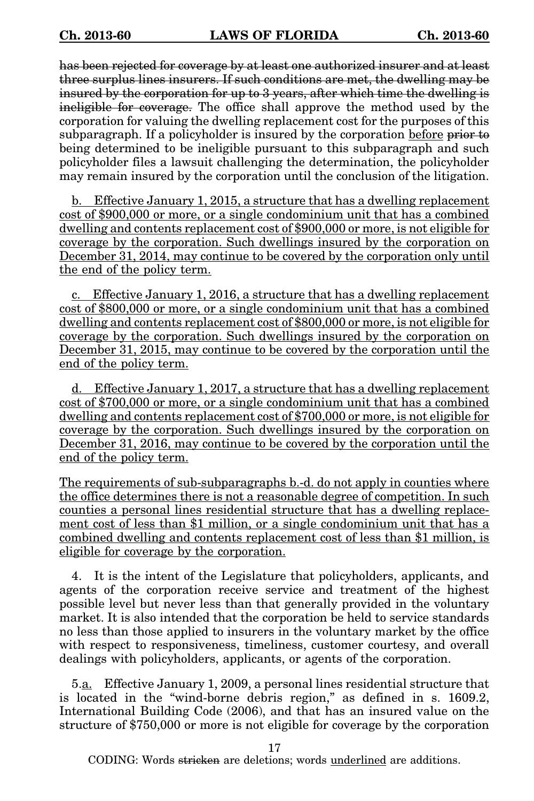has been rejected for coverage by at least one authorized insurer and at least three surplus lines insurers. If such conditions are met, the dwelling may be insured by the corporation for up to 3 years, after which time the dwelling is ineligible for coverage. The office shall approve the method used by the corporation for valuing the dwelling replacement cost for the purposes of this subparagraph. If a policyholder is insured by the corporation before prior to being determined to be ineligible pursuant to this subparagraph and such policyholder files a lawsuit challenging the determination, the policyholder may remain insured by the corporation until the conclusion of the litigation.

b. Effective January 1, 2015, a structure that has a dwelling replacement cost of \$900,000 or more, or a single condominium unit that has a combined dwelling and contents replacement cost of \$900,000 or more, is not eligible for coverage by the corporation. Such dwellings insured by the corporation on December 31, 2014, may continue to be covered by the corporation only until the end of the policy term.

c. Effective January 1, 2016, a structure that has a dwelling replacement cost of \$800,000 or more, or a single condominium unit that has a combined dwelling and contents replacement cost of \$800,000 or more, is not eligible for coverage by the corporation. Such dwellings insured by the corporation on December 31, 2015, may continue to be covered by the corporation until the end of the policy term.

d. Effective January 1, 2017, a structure that has a dwelling replacement cost of \$700,000 or more, or a single condominium unit that has a combined dwelling and contents replacement cost of \$700,000 or more, is not eligible for coverage by the corporation. Such dwellings insured by the corporation on December 31, 2016, may continue to be covered by the corporation until the end of the policy term.

The requirements of sub-subparagraphs b.-d. do not apply in counties where the office determines there is not a reasonable degree of competition. In such counties a personal lines residential structure that has a dwelling replacement cost of less than \$1 million, or a single condominium unit that has a combined dwelling and contents replacement cost of less than \$1 million, is eligible for coverage by the corporation.

4. It is the intent of the Legislature that policyholders, applicants, and agents of the corporation receive service and treatment of the highest possible level but never less than that generally provided in the voluntary market. It is also intended that the corporation be held to service standards no less than those applied to insurers in the voluntary market by the office with respect to responsiveness, timeliness, customer courtesy, and overall dealings with policyholders, applicants, or agents of the corporation.

5.a. Effective January 1, 2009, a personal lines residential structure that is located in the "wind-borne debris region," as defined in s. 1609.2, International Building Code (2006), and that has an insured value on the structure of \$750,000 or more is not eligible for coverage by the corporation

17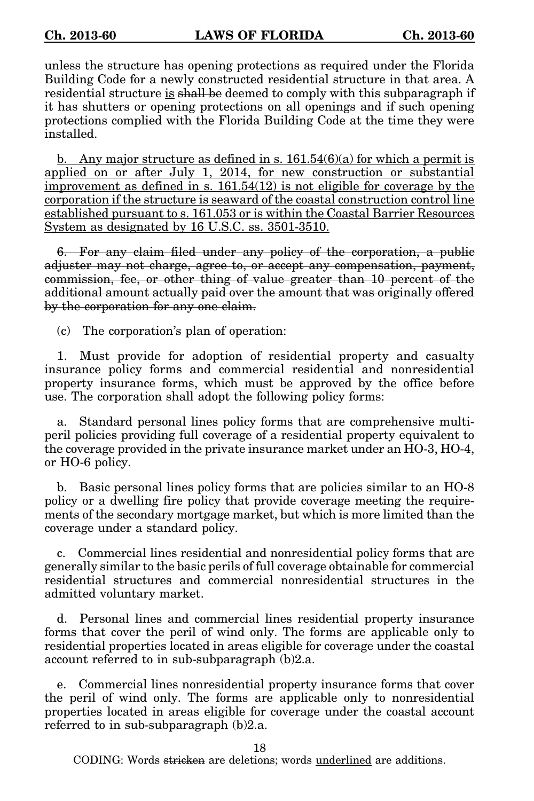unless the structure has opening protections as required under the Florida Building Code for a newly constructed residential structure in that area. A residential structure is shall be deemed to comply with this subparagraph if it has shutters or opening protections on all openings and if such opening protections complied with the Florida Building Code at the time they were installed.

b. Any major structure as defined in s.  $161.54(6)(a)$  for which a permit is applied on or after July 1, 2014, for new construction or substantial improvement as defined in s.  $161.54(12)$  is not eligible for coverage by the corporation if the structure is seaward of the coastal construction control line established pursuant to s. 161.053 or is within the Coastal Barrier Resources System as designated by 16 U.S.C. ss. 3501-3510.

6. For any claim filed under any policy of the corporation, a public adjuster may not charge, agree to, or accept any compensation, payment, commission, fee, or other thing of value greater than 10 percent of the additional amount actually paid over the amount that was originally offered by the corporation for any one claim.

(c) The corporation's plan of operation:

1. Must provide for adoption of residential property and casualty insurance policy forms and commercial residential and nonresidential property insurance forms, which must be approved by the office before use. The corporation shall adopt the following policy forms:

a. Standard personal lines policy forms that are comprehensive multiperil policies providing full coverage of a residential property equivalent to the coverage provided in the private insurance market under an HO-3, HO-4, or HO-6 policy.

b. Basic personal lines policy forms that are policies similar to an HO-8 policy or a dwelling fire policy that provide coverage meeting the requirements of the secondary mortgage market, but which is more limited than the coverage under a standard policy.

c. Commercial lines residential and nonresidential policy forms that are generally similar to the basic perils of full coverage obtainable for commercial residential structures and commercial nonresidential structures in the admitted voluntary market.

d. Personal lines and commercial lines residential property insurance forms that cover the peril of wind only. The forms are applicable only to residential properties located in areas eligible for coverage under the coastal account referred to in sub-subparagraph (b)2.a.

e. Commercial lines nonresidential property insurance forms that cover the peril of wind only. The forms are applicable only to nonresidential properties located in areas eligible for coverage under the coastal account referred to in sub-subparagraph (b)2.a.

18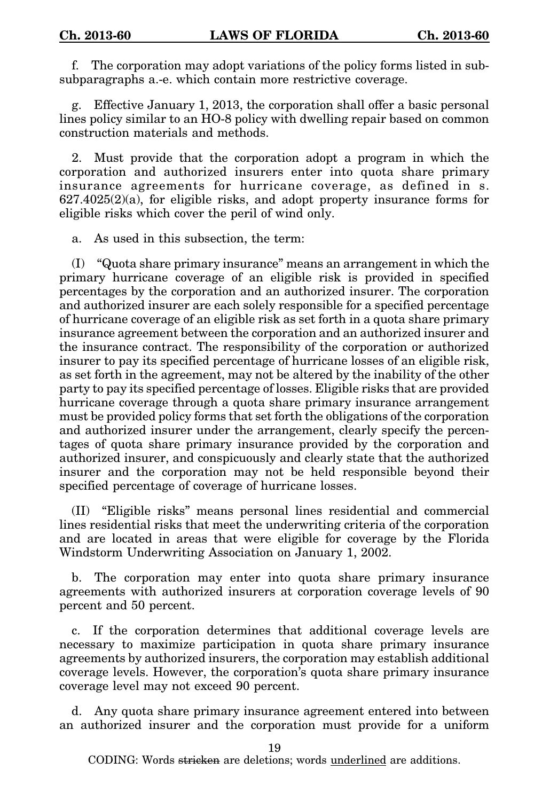f. The corporation may adopt variations of the policy forms listed in subsubparagraphs a.-e. which contain more restrictive coverage.

g. Effective January 1, 2013, the corporation shall offer a basic personal lines policy similar to an HO-8 policy with dwelling repair based on common construction materials and methods.

2. Must provide that the corporation adopt a program in which the corporation and authorized insurers enter into quota share primary insurance agreements for hurricane coverage, as defined in s. 627.4025(2)(a), for eligible risks, and adopt property insurance forms for eligible risks which cover the peril of wind only.

a. As used in this subsection, the term:

(I) "Quota share primary insurance" means an arrangement in which the primary hurricane coverage of an eligible risk is provided in specified percentages by the corporation and an authorized insurer. The corporation and authorized insurer are each solely responsible for a specified percentage of hurricane coverage of an eligible risk as set forth in a quota share primary insurance agreement between the corporation and an authorized insurer and the insurance contract. The responsibility of the corporation or authorized insurer to pay its specified percentage of hurricane losses of an eligible risk, as set forth in the agreement, may not be altered by the inability of the other party to pay its specified percentage of losses. Eligible risks that are provided hurricane coverage through a quota share primary insurance arrangement must be provided policy forms that set forth the obligations of the corporation and authorized insurer under the arrangement, clearly specify the percentages of quota share primary insurance provided by the corporation and authorized insurer, and conspicuously and clearly state that the authorized insurer and the corporation may not be held responsible beyond their specified percentage of coverage of hurricane losses.

(II) "Eligible risks" means personal lines residential and commercial lines residential risks that meet the underwriting criteria of the corporation and are located in areas that were eligible for coverage by the Florida Windstorm Underwriting Association on January 1, 2002.

b. The corporation may enter into quota share primary insurance agreements with authorized insurers at corporation coverage levels of 90 percent and 50 percent.

c. If the corporation determines that additional coverage levels are necessary to maximize participation in quota share primary insurance agreements by authorized insurers, the corporation may establish additional coverage levels. However, the corporation's quota share primary insurance coverage level may not exceed 90 percent.

d. Any quota share primary insurance agreement entered into between an authorized insurer and the corporation must provide for a uniform

19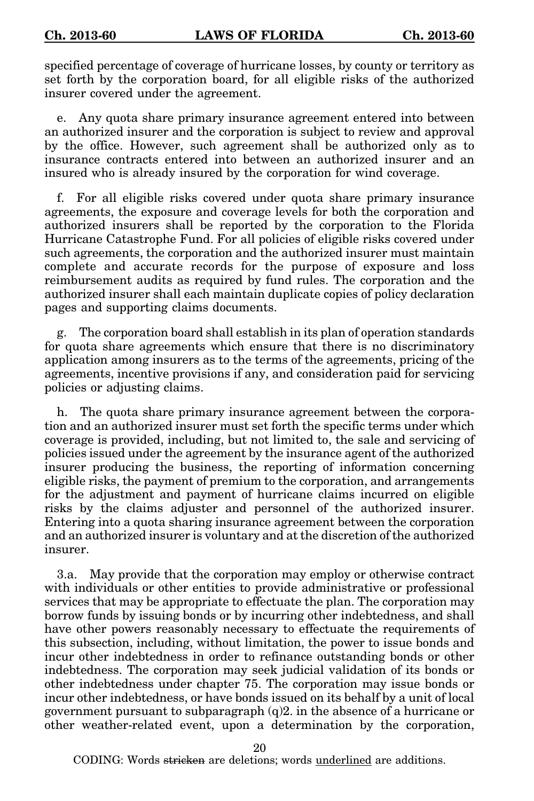specified percentage of coverage of hurricane losses, by county or territory as set forth by the corporation board, for all eligible risks of the authorized insurer covered under the agreement.

e. Any quota share primary insurance agreement entered into between an authorized insurer and the corporation is subject to review and approval by the office. However, such agreement shall be authorized only as to insurance contracts entered into between an authorized insurer and an insured who is already insured by the corporation for wind coverage.

f. For all eligible risks covered under quota share primary insurance agreements, the exposure and coverage levels for both the corporation and authorized insurers shall be reported by the corporation to the Florida Hurricane Catastrophe Fund. For all policies of eligible risks covered under such agreements, the corporation and the authorized insurer must maintain complete and accurate records for the purpose of exposure and loss reimbursement audits as required by fund rules. The corporation and the authorized insurer shall each maintain duplicate copies of policy declaration pages and supporting claims documents.

g. The corporation board shall establish in its plan of operation standards for quota share agreements which ensure that there is no discriminatory application among insurers as to the terms of the agreements, pricing of the agreements, incentive provisions if any, and consideration paid for servicing policies or adjusting claims.

h. The quota share primary insurance agreement between the corporation and an authorized insurer must set forth the specific terms under which coverage is provided, including, but not limited to, the sale and servicing of policies issued under the agreement by the insurance agent of the authorized insurer producing the business, the reporting of information concerning eligible risks, the payment of premium to the corporation, and arrangements for the adjustment and payment of hurricane claims incurred on eligible risks by the claims adjuster and personnel of the authorized insurer. Entering into a quota sharing insurance agreement between the corporation and an authorized insurer is voluntary and at the discretion of the authorized insurer.

3.a. May provide that the corporation may employ or otherwise contract with individuals or other entities to provide administrative or professional services that may be appropriate to effectuate the plan. The corporation may borrow funds by issuing bonds or by incurring other indebtedness, and shall have other powers reasonably necessary to effectuate the requirements of this subsection, including, without limitation, the power to issue bonds and incur other indebtedness in order to refinance outstanding bonds or other indebtedness. The corporation may seek judicial validation of its bonds or other indebtedness under chapter 75. The corporation may issue bonds or incur other indebtedness, or have bonds issued on its behalf by a unit of local government pursuant to subparagraph (q)2. in the absence of a hurricane or other weather-related event, upon a determination by the corporation,

20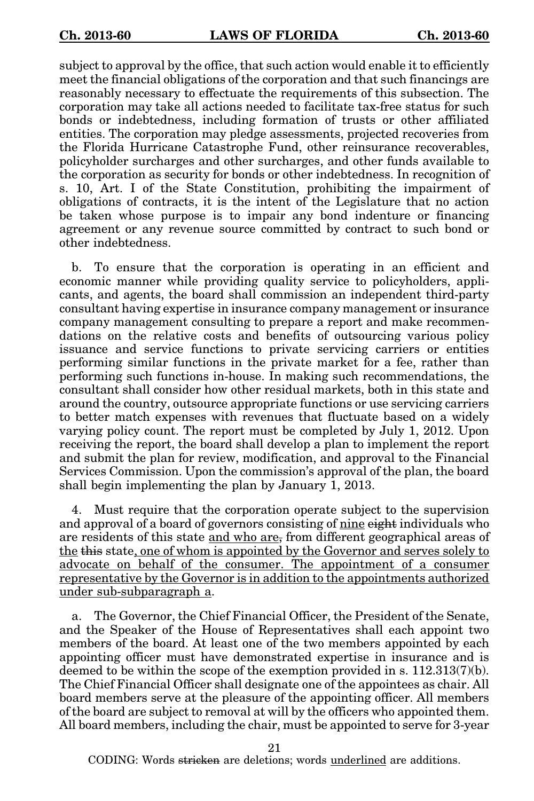subject to approval by the office, that such action would enable it to efficiently meet the financial obligations of the corporation and that such financings are reasonably necessary to effectuate the requirements of this subsection. The corporation may take all actions needed to facilitate tax-free status for such bonds or indebtedness, including formation of trusts or other affiliated entities. The corporation may pledge assessments, projected recoveries from the Florida Hurricane Catastrophe Fund, other reinsurance recoverables, policyholder surcharges and other surcharges, and other funds available to the corporation as security for bonds or other indebtedness. In recognition of s. 10, Art. I of the State Constitution, prohibiting the impairment of obligations of contracts, it is the intent of the Legislature that no action be taken whose purpose is to impair any bond indenture or financing agreement or any revenue source committed by contract to such bond or other indebtedness.

b. To ensure that the corporation is operating in an efficient and economic manner while providing quality service to policyholders, applicants, and agents, the board shall commission an independent third-party consultant having expertise in insurance company management or insurance company management consulting to prepare a report and make recommendations on the relative costs and benefits of outsourcing various policy issuance and service functions to private servicing carriers or entities performing similar functions in the private market for a fee, rather than performing such functions in-house. In making such recommendations, the consultant shall consider how other residual markets, both in this state and around the country, outsource appropriate functions or use servicing carriers to better match expenses with revenues that fluctuate based on a widely varying policy count. The report must be completed by July 1, 2012. Upon receiving the report, the board shall develop a plan to implement the report and submit the plan for review, modification, and approval to the Financial Services Commission. Upon the commission's approval of the plan, the board shall begin implementing the plan by January 1, 2013.

4. Must require that the corporation operate subject to the supervision and approval of a board of governors consisting of nine eight individuals who are residents of this state and who are, from different geographical areas of the this state, one of whom is appointed by the Governor and serves solely to advocate on behalf of the consumer. The appointment of a consumer representative by the Governor is in addition to the appointments authorized under sub-subparagraph a.

a. The Governor, the Chief Financial Officer, the President of the Senate, and the Speaker of the House of Representatives shall each appoint two members of the board. At least one of the two members appointed by each appointing officer must have demonstrated expertise in insurance and is deemed to be within the scope of the exemption provided in s. 112.313(7)(b). The Chief Financial Officer shall designate one of the appointees as chair. All board members serve at the pleasure of the appointing officer. All members of the board are subject to removal at will by the officers who appointed them. All board members, including the chair, must be appointed to serve for 3-year

21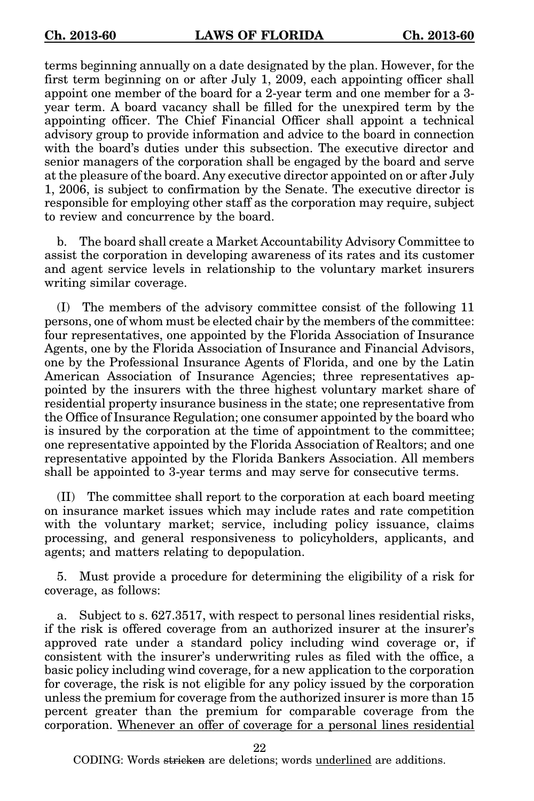terms beginning annually on a date designated by the plan. However, for the first term beginning on or after July 1, 2009, each appointing officer shall appoint one member of the board for a 2-year term and one member for a 3 year term. A board vacancy shall be filled for the unexpired term by the appointing officer. The Chief Financial Officer shall appoint a technical advisory group to provide information and advice to the board in connection with the board's duties under this subsection. The executive director and senior managers of the corporation shall be engaged by the board and serve at the pleasure of the board. Any executive director appointed on or after July 1, 2006, is subject to confirmation by the Senate. The executive director is responsible for employing other staff as the corporation may require, subject to review and concurrence by the board.

b. The board shall create a Market Accountability Advisory Committee to assist the corporation in developing awareness of its rates and its customer and agent service levels in relationship to the voluntary market insurers writing similar coverage.

(I) The members of the advisory committee consist of the following 11 persons, one of whom must be elected chair by the members of the committee: four representatives, one appointed by the Florida Association of Insurance Agents, one by the Florida Association of Insurance and Financial Advisors, one by the Professional Insurance Agents of Florida, and one by the Latin American Association of Insurance Agencies; three representatives appointed by the insurers with the three highest voluntary market share of residential property insurance business in the state; one representative from the Office of Insurance Regulation; one consumer appointed by the board who is insured by the corporation at the time of appointment to the committee; one representative appointed by the Florida Association of Realtors; and one representative appointed by the Florida Bankers Association. All members shall be appointed to 3-year terms and may serve for consecutive terms.

(II) The committee shall report to the corporation at each board meeting on insurance market issues which may include rates and rate competition with the voluntary market; service, including policy issuance, claims processing, and general responsiveness to policyholders, applicants, and agents; and matters relating to depopulation.

5. Must provide a procedure for determining the eligibility of a risk for coverage, as follows:

Subject to s. 627.3517, with respect to personal lines residential risks, if the risk is offered coverage from an authorized insurer at the insurer's approved rate under a standard policy including wind coverage or, if consistent with the insurer's underwriting rules as filed with the office, a basic policy including wind coverage, for a new application to the corporation for coverage, the risk is not eligible for any policy issued by the corporation unless the premium for coverage from the authorized insurer is more than 15 percent greater than the premium for comparable coverage from the corporation. Whenever an offer of coverage for a personal lines residential

22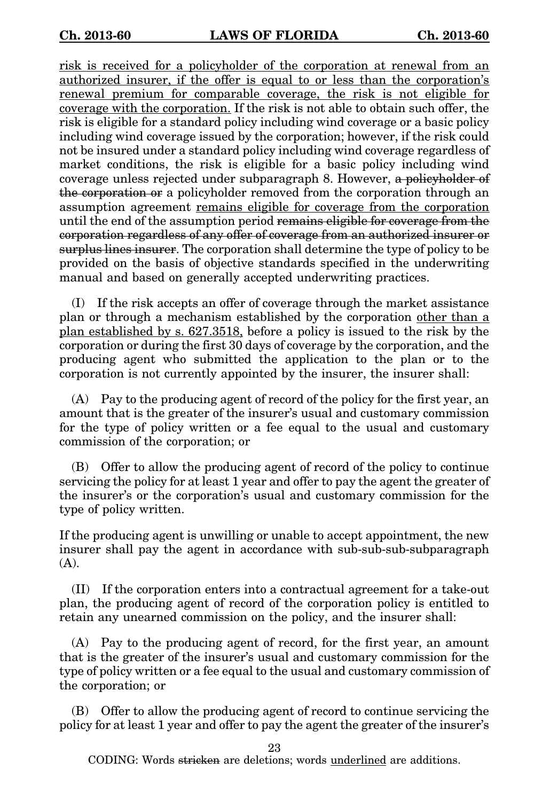risk is received for a policyholder of the corporation at renewal from an authorized insurer, if the offer is equal to or less than the corporation's renewal premium for comparable coverage, the risk is not eligible for coverage with the corporation. If the risk is not able to obtain such offer, the risk is eligible for a standard policy including wind coverage or a basic policy including wind coverage issued by the corporation; however, if the risk could not be insured under a standard policy including wind coverage regardless of market conditions, the risk is eligible for a basic policy including wind coverage unless rejected under subparagraph 8. However, a policyholder of the corporation or a policyholder removed from the corporation through an assumption agreement remains eligible for coverage from the corporation until the end of the assumption period remains eligible for coverage from the corporation regardless of any offer of coverage from an authorized insurer or surplus lines insurer. The corporation shall determine the type of policy to be provided on the basis of objective standards specified in the underwriting manual and based on generally accepted underwriting practices.

(I) If the risk accepts an offer of coverage through the market assistance plan or through a mechanism established by the corporation other than a plan established by s. 627.3518, before a policy is issued to the risk by the corporation or during the first 30 days of coverage by the corporation, and the producing agent who submitted the application to the plan or to the corporation is not currently appointed by the insurer, the insurer shall:

(A) Pay to the producing agent of record of the policy for the first year, an amount that is the greater of the insurer's usual and customary commission for the type of policy written or a fee equal to the usual and customary commission of the corporation; or

(B) Offer to allow the producing agent of record of the policy to continue servicing the policy for at least 1 year and offer to pay the agent the greater of the insurer's or the corporation's usual and customary commission for the type of policy written.

If the producing agent is unwilling or unable to accept appointment, the new insurer shall pay the agent in accordance with sub-sub-sub-subparagraph (A).

(II) If the corporation enters into a contractual agreement for a take-out plan, the producing agent of record of the corporation policy is entitled to retain any unearned commission on the policy, and the insurer shall:

(A) Pay to the producing agent of record, for the first year, an amount that is the greater of the insurer's usual and customary commission for the type of policy written or a fee equal to the usual and customary commission of the corporation; or

(B) Offer to allow the producing agent of record to continue servicing the policy for at least 1 year and offer to pay the agent the greater of the insurer's

23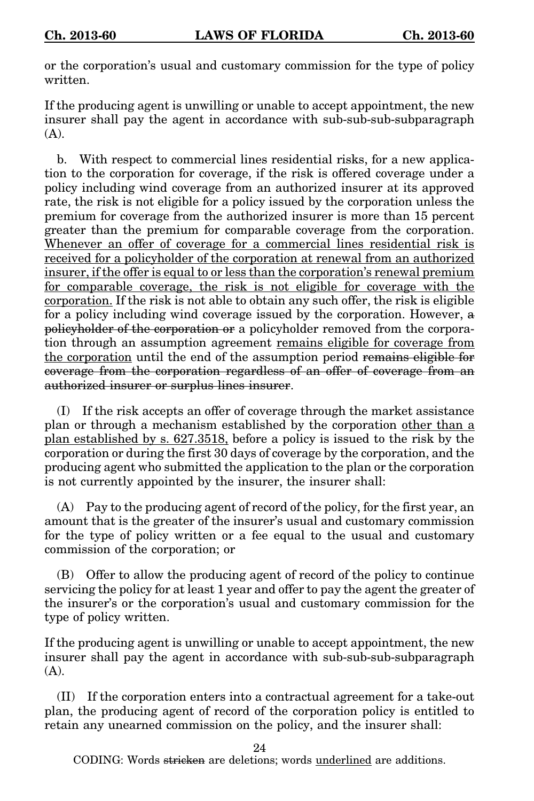or the corporation's usual and customary commission for the type of policy written.

If the producing agent is unwilling or unable to accept appointment, the new insurer shall pay the agent in accordance with sub-sub-sub-subparagraph  $(A)$ .

b. With respect to commercial lines residential risks, for a new application to the corporation for coverage, if the risk is offered coverage under a policy including wind coverage from an authorized insurer at its approved rate, the risk is not eligible for a policy issued by the corporation unless the premium for coverage from the authorized insurer is more than 15 percent greater than the premium for comparable coverage from the corporation. Whenever an offer of coverage for a commercial lines residential risk is received for a policyholder of the corporation at renewal from an authorized insurer, if the offer is equal to or less than the corporation's renewal premium for comparable coverage, the risk is not eligible for coverage with the corporation. If the risk is not able to obtain any such offer, the risk is eligible for a policy including wind coverage issued by the corporation. However, a policyholder of the corporation or a policyholder removed from the corporation through an assumption agreement remains eligible for coverage from the corporation until the end of the assumption period remains eligible for coverage from the corporation regardless of an offer of coverage from an authorized insurer or surplus lines insurer.

(I) If the risk accepts an offer of coverage through the market assistance plan or through a mechanism established by the corporation other than a plan established by s. 627.3518, before a policy is issued to the risk by the corporation or during the first 30 days of coverage by the corporation, and the producing agent who submitted the application to the plan or the corporation is not currently appointed by the insurer, the insurer shall:

(A) Pay to the producing agent of record of the policy, for the first year, an amount that is the greater of the insurer's usual and customary commission for the type of policy written or a fee equal to the usual and customary commission of the corporation; or

(B) Offer to allow the producing agent of record of the policy to continue servicing the policy for at least 1 year and offer to pay the agent the greater of the insurer's or the corporation's usual and customary commission for the type of policy written.

If the producing agent is unwilling or unable to accept appointment, the new insurer shall pay the agent in accordance with sub-sub-sub-subparagraph (A).

(II) If the corporation enters into a contractual agreement for a take-out plan, the producing agent of record of the corporation policy is entitled to retain any unearned commission on the policy, and the insurer shall:

24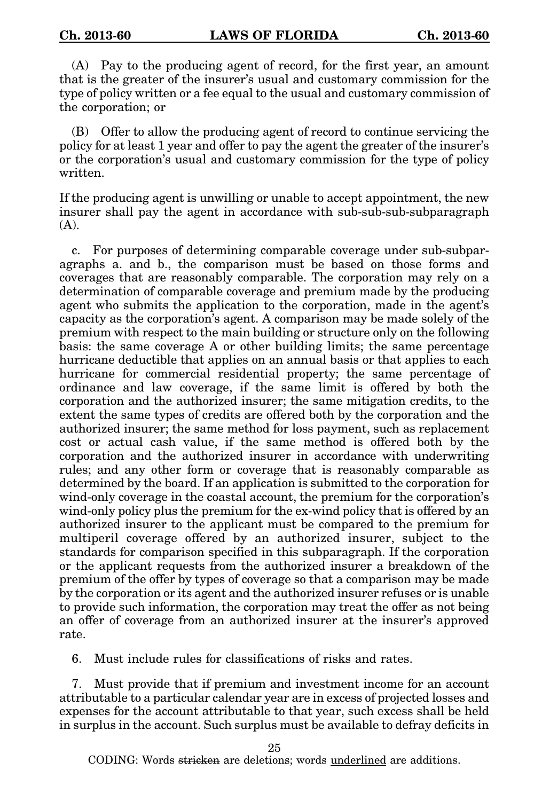(A) Pay to the producing agent of record, for the first year, an amount that is the greater of the insurer's usual and customary commission for the type of policy written or a fee equal to the usual and customary commission of the corporation; or

(B) Offer to allow the producing agent of record to continue servicing the policy for at least 1 year and offer to pay the agent the greater of the insurer's or the corporation's usual and customary commission for the type of policy written.

If the producing agent is unwilling or unable to accept appointment, the new insurer shall pay the agent in accordance with sub-sub-sub-subparagraph (A).

c. For purposes of determining comparable coverage under sub-subparagraphs a. and b., the comparison must be based on those forms and coverages that are reasonably comparable. The corporation may rely on a determination of comparable coverage and premium made by the producing agent who submits the application to the corporation, made in the agent's capacity as the corporation's agent. A comparison may be made solely of the premium with respect to the main building or structure only on the following basis: the same coverage A or other building limits; the same percentage hurricane deductible that applies on an annual basis or that applies to each hurricane for commercial residential property; the same percentage of ordinance and law coverage, if the same limit is offered by both the corporation and the authorized insurer; the same mitigation credits, to the extent the same types of credits are offered both by the corporation and the authorized insurer; the same method for loss payment, such as replacement cost or actual cash value, if the same method is offered both by the corporation and the authorized insurer in accordance with underwriting rules; and any other form or coverage that is reasonably comparable as determined by the board. If an application is submitted to the corporation for wind-only coverage in the coastal account, the premium for the corporation's wind-only policy plus the premium for the ex-wind policy that is offered by an authorized insurer to the applicant must be compared to the premium for multiperil coverage offered by an authorized insurer, subject to the standards for comparison specified in this subparagraph. If the corporation or the applicant requests from the authorized insurer a breakdown of the premium of the offer by types of coverage so that a comparison may be made by the corporation or its agent and the authorized insurer refuses or is unable to provide such information, the corporation may treat the offer as not being an offer of coverage from an authorized insurer at the insurer's approved rate.

6. Must include rules for classifications of risks and rates.

7. Must provide that if premium and investment income for an account attributable to a particular calendar year are in excess of projected losses and expenses for the account attributable to that year, such excess shall be held in surplus in the account. Such surplus must be available to defray deficits in

25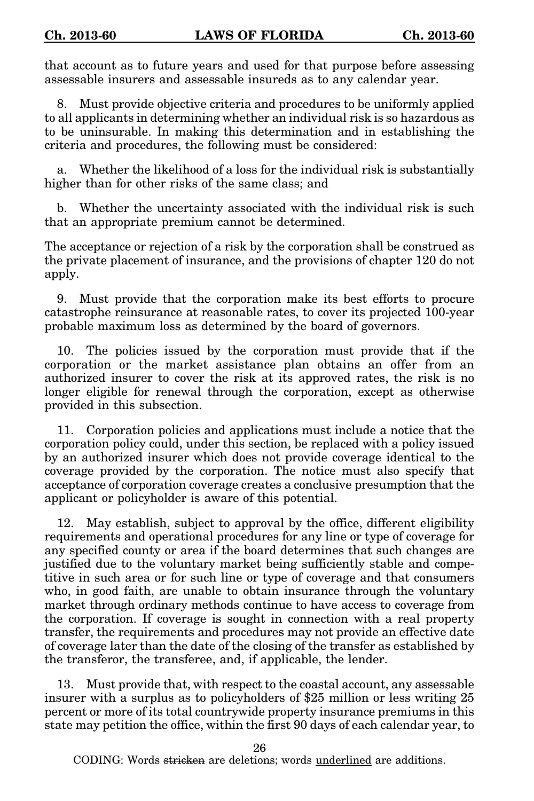that account as to future years and used for that purpose before assessing assessable insurers and assessable insureds as to any calendar year.

8. Must provide objective criteria and procedures to be uniformly applied to all applicants in determining whether an individual risk is so hazardous as to be uninsurable. In making this determination and in establishing the criteria and procedures, the following must be considered:

Whether the likelihood of a loss for the individual risk is substantially higher than for other risks of the same class; and

b. Whether the uncertainty associated with the individual risk is such that an appropriate premium cannot be determined.

The acceptance or rejection of a risk by the corporation shall be construed as the private placement of insurance, and the provisions of chapter 120 do not apply.

9. Must provide that the corporation make its best efforts to procure catastrophe reinsurance at reasonable rates, to cover its projected 100-year probable maximum loss as determined by the board of governors.

10. The policies issued by the corporation must provide that if the corporation or the market assistance plan obtains an offer from an authorized insurer to cover the risk at its approved rates, the risk is no longer eligible for renewal through the corporation, except as otherwise provided in this subsection.

11. Corporation policies and applications must include a notice that the corporation policy could, under this section, be replaced with a policy issued by an authorized insurer which does not provide coverage identical to the coverage provided by the corporation. The notice must also specify that acceptance of corporation coverage creates a conclusive presumption that the applicant or policyholder is aware of this potential.

12. May establish, subject to approval by the office, different eligibility requirements and operational procedures for any line or type of coverage for any specified county or area if the board determines that such changes are justified due to the voluntary market being sufficiently stable and competitive in such area or for such line or type of coverage and that consumers who, in good faith, are unable to obtain insurance through the voluntary market through ordinary methods continue to have access to coverage from the corporation. If coverage is sought in connection with a real property transfer, the requirements and procedures may not provide an effective date of coverage later than the date of the closing of the transfer as established by the transferor, the transferee, and, if applicable, the lender.

13. Must provide that, with respect to the coastal account, any assessable insurer with a surplus as to policyholders of \$25 million or less writing 25 percent or more of its total countrywide property insurance premiums in this state may petition the office, within the first 90 days of each calendar year, to

26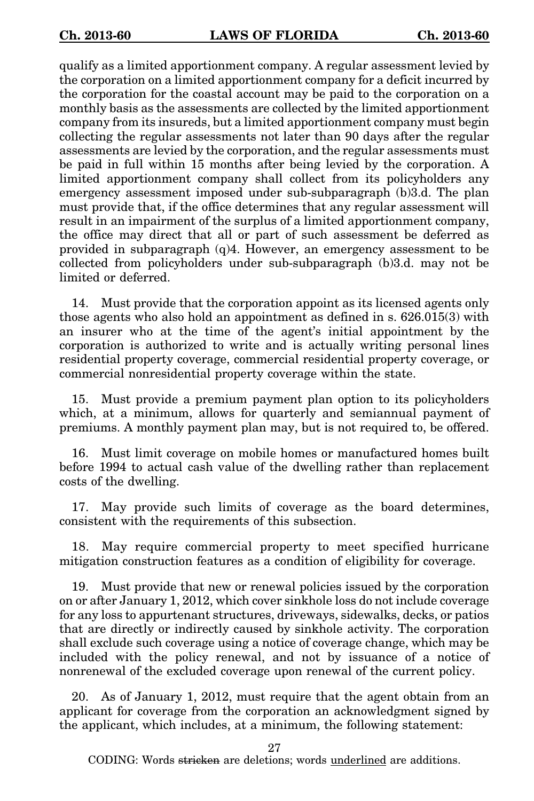qualify as a limited apportionment company. A regular assessment levied by the corporation on a limited apportionment company for a deficit incurred by the corporation for the coastal account may be paid to the corporation on a monthly basis as the assessments are collected by the limited apportionment company from its insureds, but a limited apportionment company must begin collecting the regular assessments not later than 90 days after the regular assessments are levied by the corporation, and the regular assessments must be paid in full within 15 months after being levied by the corporation. A limited apportionment company shall collect from its policyholders any emergency assessment imposed under sub-subparagraph (b)3.d. The plan must provide that, if the office determines that any regular assessment will result in an impairment of the surplus of a limited apportionment company, the office may direct that all or part of such assessment be deferred as provided in subparagraph (q)4. However, an emergency assessment to be collected from policyholders under sub-subparagraph (b)3.d. may not be limited or deferred.

14. Must provide that the corporation appoint as its licensed agents only those agents who also hold an appointment as defined in s. 626.015(3) with an insurer who at the time of the agent's initial appointment by the corporation is authorized to write and is actually writing personal lines residential property coverage, commercial residential property coverage, or commercial nonresidential property coverage within the state.

15. Must provide a premium payment plan option to its policyholders which, at a minimum, allows for quarterly and semiannual payment of premiums. A monthly payment plan may, but is not required to, be offered.

16. Must limit coverage on mobile homes or manufactured homes built before 1994 to actual cash value of the dwelling rather than replacement costs of the dwelling.

17. May provide such limits of coverage as the board determines, consistent with the requirements of this subsection.

18. May require commercial property to meet specified hurricane mitigation construction features as a condition of eligibility for coverage.

19. Must provide that new or renewal policies issued by the corporation on or after January 1, 2012, which cover sinkhole loss do not include coverage for any loss to appurtenant structures, driveways, sidewalks, decks, or patios that are directly or indirectly caused by sinkhole activity. The corporation shall exclude such coverage using a notice of coverage change, which may be included with the policy renewal, and not by issuance of a notice of nonrenewal of the excluded coverage upon renewal of the current policy.

20. As of January 1, 2012, must require that the agent obtain from an applicant for coverage from the corporation an acknowledgment signed by the applicant, which includes, at a minimum, the following statement:

27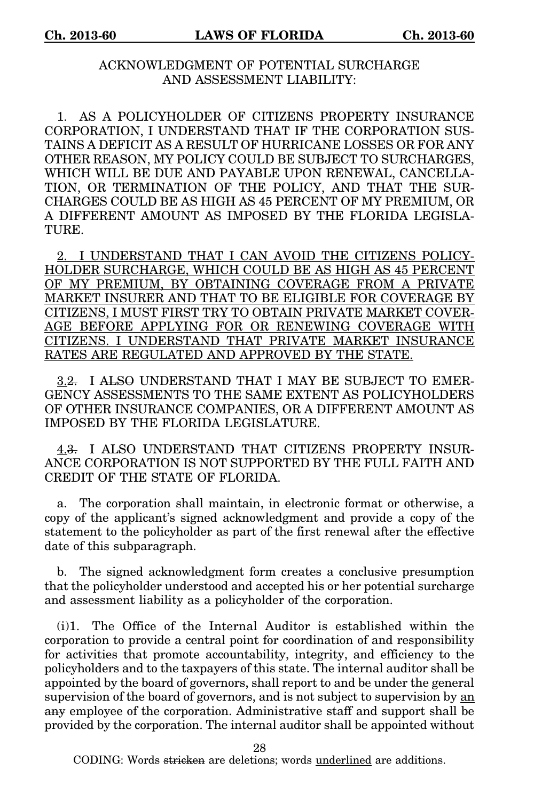## ACKNOWLEDGMENT OF POTENTIAL SURCHARGE AND ASSESSMENT LIABILITY:

1. AS A POLICYHOLDER OF CITIZENS PROPERTY INSURANCE CORPORATION, I UNDERSTAND THAT IF THE CORPORATION SUS-TAINS A DEFICIT AS A RESULT OF HURRICANE LOSSES OR FOR ANY OTHER REASON, MY POLICY COULD BE SUBJECT TO SURCHARGES, WHICH WILL BE DUE AND PAYABLE UPON RENEWAL, CANCELLA-TION, OR TERMINATION OF THE POLICY, AND THAT THE SUR-CHARGES COULD BE AS HIGH AS 45 PERCENT OF MY PREMIUM, OR A DIFFERENT AMOUNT AS IMPOSED BY THE FLORIDA LEGISLA-TURE.

2. I UNDERSTAND THAT I CAN AVOID THE CITIZENS POLICY-HOLDER SURCHARGE, WHICH COULD BE AS HIGH AS 45 PERCENT OF MY PREMIUM, BY OBTAINING COVERAGE FROM A PRIVATE MARKET INSURER AND THAT TO BE ELIGIBLE FOR COVERAGE BY CITIZENS, I MUST FIRST TRY TO OBTAIN PRIVATE MARKET COVER-AGE BEFORE APPLYING FOR OR RENEWING COVERAGE WITH CITIZENS. I UNDERSTAND THAT PRIVATE MARKET INSURANCE RATES ARE REGULATED AND APPROVED BY THE STATE.

3.2. I ALSO UNDERSTAND THAT I MAY BE SUBJECT TO EMER-GENCY ASSESSMENTS TO THE SAME EXTENT AS POLICYHOLDERS OF OTHER INSURANCE COMPANIES, OR A DIFFERENT AMOUNT AS IMPOSED BY THE FLORIDA LEGISLATURE.

4.3. I ALSO UNDERSTAND THAT CITIZENS PROPERTY INSUR-ANCE CORPORATION IS NOT SUPPORTED BY THE FULL FAITH AND CREDIT OF THE STATE OF FLORIDA.

a. The corporation shall maintain, in electronic format or otherwise, a copy of the applicant's signed acknowledgment and provide a copy of the statement to the policyholder as part of the first renewal after the effective date of this subparagraph.

b. The signed acknowledgment form creates a conclusive presumption that the policyholder understood and accepted his or her potential surcharge and assessment liability as a policyholder of the corporation.

(i)1. The Office of the Internal Auditor is established within the corporation to provide a central point for coordination of and responsibility for activities that promote accountability, integrity, and efficiency to the policyholders and to the taxpayers of this state. The internal auditor shall be appointed by the board of governors, shall report to and be under the general supervision of the board of governors, and is not subject to supervision by  $\underline{an}$ any employee of the corporation. Administrative staff and support shall be provided by the corporation. The internal auditor shall be appointed without

28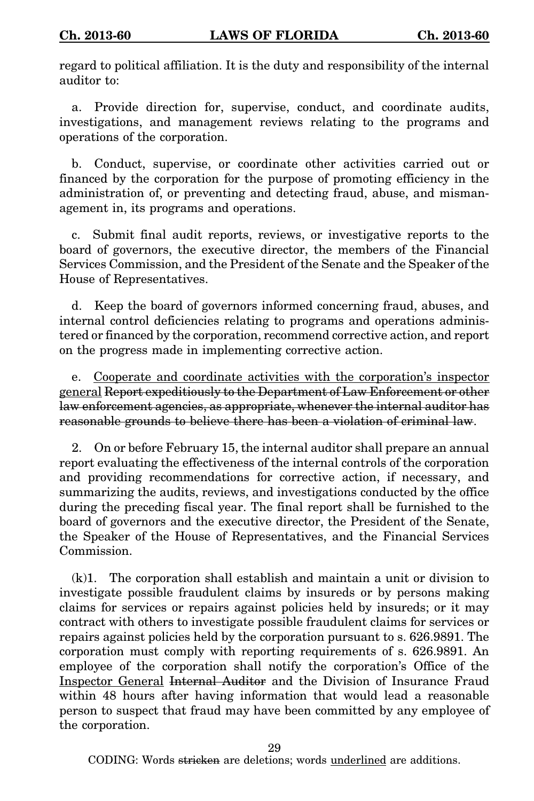regard to political affiliation. It is the duty and responsibility of the internal auditor to:

a. Provide direction for, supervise, conduct, and coordinate audits, investigations, and management reviews relating to the programs and operations of the corporation.

b. Conduct, supervise, or coordinate other activities carried out or financed by the corporation for the purpose of promoting efficiency in the administration of, or preventing and detecting fraud, abuse, and mismanagement in, its programs and operations.

c. Submit final audit reports, reviews, or investigative reports to the board of governors, the executive director, the members of the Financial Services Commission, and the President of the Senate and the Speaker of the House of Representatives.

d. Keep the board of governors informed concerning fraud, abuses, and internal control deficiencies relating to programs and operations administered or financed by the corporation, recommend corrective action, and report on the progress made in implementing corrective action.

e. Cooperate and coordinate activities with the corporation's inspector general Report expeditiously to the Department of Law Enforcement or other law enforcement agencies, as appropriate, whenever the internal auditor has reasonable grounds to believe there has been a violation of criminal law.

2. On or before February 15, the internal auditor shall prepare an annual report evaluating the effectiveness of the internal controls of the corporation and providing recommendations for corrective action, if necessary, and summarizing the audits, reviews, and investigations conducted by the office during the preceding fiscal year. The final report shall be furnished to the board of governors and the executive director, the President of the Senate, the Speaker of the House of Representatives, and the Financial Services Commission.

(k)1. The corporation shall establish and maintain a unit or division to investigate possible fraudulent claims by insureds or by persons making claims for services or repairs against policies held by insureds; or it may contract with others to investigate possible fraudulent claims for services or repairs against policies held by the corporation pursuant to s. 626.9891. The corporation must comply with reporting requirements of s. 626.9891. An employee of the corporation shall notify the corporation's Office of the Inspector General Internal Auditor and the Division of Insurance Fraud within 48 hours after having information that would lead a reasonable person to suspect that fraud may have been committed by any employee of the corporation.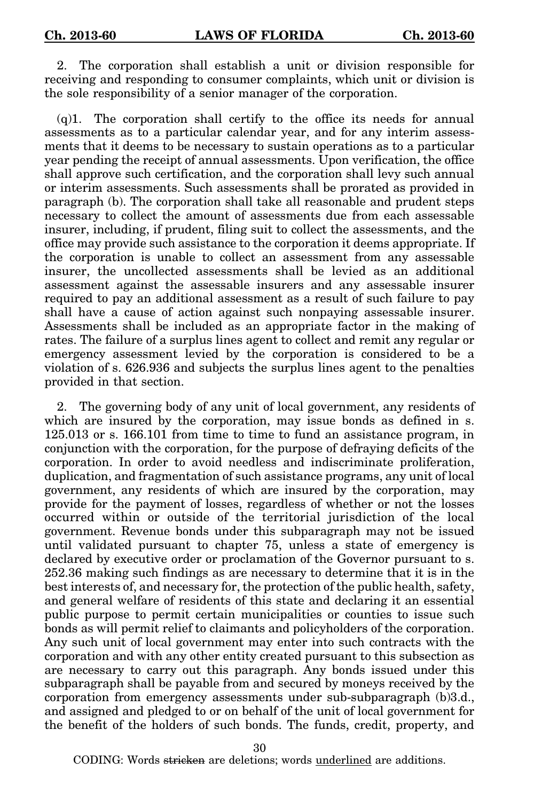2. The corporation shall establish a unit or division responsible for receiving and responding to consumer complaints, which unit or division is the sole responsibility of a senior manager of the corporation.

 $(q)$ 1. The corporation shall certify to the office its needs for annual assessments as to a particular calendar year, and for any interim assessments that it deems to be necessary to sustain operations as to a particular year pending the receipt of annual assessments. Upon verification, the office shall approve such certification, and the corporation shall levy such annual or interim assessments. Such assessments shall be prorated as provided in paragraph (b). The corporation shall take all reasonable and prudent steps necessary to collect the amount of assessments due from each assessable insurer, including, if prudent, filing suit to collect the assessments, and the office may provide such assistance to the corporation it deems appropriate. If the corporation is unable to collect an assessment from any assessable insurer, the uncollected assessments shall be levied as an additional assessment against the assessable insurers and any assessable insurer required to pay an additional assessment as a result of such failure to pay shall have a cause of action against such nonpaying assessable insurer. Assessments shall be included as an appropriate factor in the making of rates. The failure of a surplus lines agent to collect and remit any regular or emergency assessment levied by the corporation is considered to be a violation of s. 626.936 and subjects the surplus lines agent to the penalties provided in that section.

2. The governing body of any unit of local government, any residents of which are insured by the corporation, may issue bonds as defined in s. 125.013 or s. 166.101 from time to time to fund an assistance program, in conjunction with the corporation, for the purpose of defraying deficits of the corporation. In order to avoid needless and indiscriminate proliferation, duplication, and fragmentation of such assistance programs, any unit of local government, any residents of which are insured by the corporation, may provide for the payment of losses, regardless of whether or not the losses occurred within or outside of the territorial jurisdiction of the local government. Revenue bonds under this subparagraph may not be issued until validated pursuant to chapter 75, unless a state of emergency is declared by executive order or proclamation of the Governor pursuant to s. 252.36 making such findings as are necessary to determine that it is in the best interests of, and necessary for, the protection of the public health, safety, and general welfare of residents of this state and declaring it an essential public purpose to permit certain municipalities or counties to issue such bonds as will permit relief to claimants and policyholders of the corporation. Any such unit of local government may enter into such contracts with the corporation and with any other entity created pursuant to this subsection as are necessary to carry out this paragraph. Any bonds issued under this subparagraph shall be payable from and secured by moneys received by the corporation from emergency assessments under sub-subparagraph (b)3.d., and assigned and pledged to or on behalf of the unit of local government for the benefit of the holders of such bonds. The funds, credit, property, and

30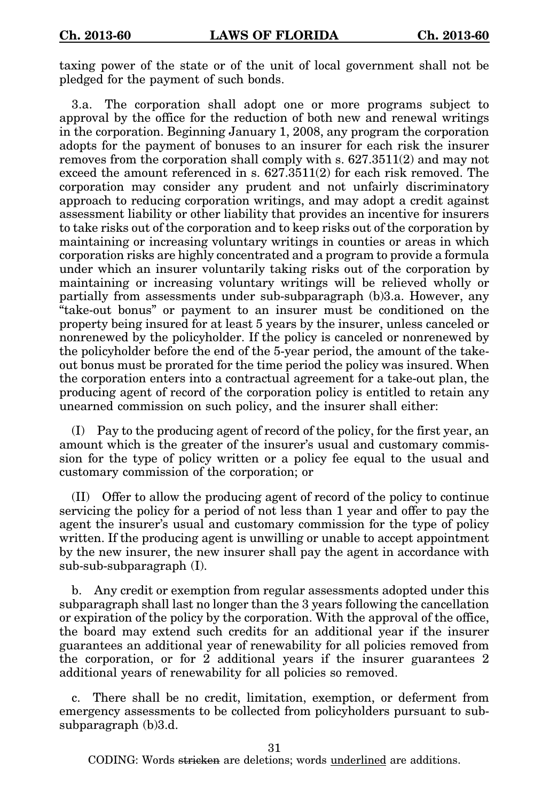taxing power of the state or of the unit of local government shall not be pledged for the payment of such bonds.

3.a. The corporation shall adopt one or more programs subject to approval by the office for the reduction of both new and renewal writings in the corporation. Beginning January 1, 2008, any program the corporation adopts for the payment of bonuses to an insurer for each risk the insurer removes from the corporation shall comply with s. 627.3511(2) and may not exceed the amount referenced in s. 627.3511(2) for each risk removed. The corporation may consider any prudent and not unfairly discriminatory approach to reducing corporation writings, and may adopt a credit against assessment liability or other liability that provides an incentive for insurers to take risks out of the corporation and to keep risks out of the corporation by maintaining or increasing voluntary writings in counties or areas in which corporation risks are highly concentrated and a program to provide a formula under which an insurer voluntarily taking risks out of the corporation by maintaining or increasing voluntary writings will be relieved wholly or partially from assessments under sub-subparagraph (b)3.a. However, any "take-out bonus" or payment to an insurer must be conditioned on the property being insured for at least 5 years by the insurer, unless canceled or nonrenewed by the policyholder. If the policy is canceled or nonrenewed by the policyholder before the end of the 5-year period, the amount of the takeout bonus must be prorated for the time period the policy was insured. When the corporation enters into a contractual agreement for a take-out plan, the producing agent of record of the corporation policy is entitled to retain any unearned commission on such policy, and the insurer shall either:

(I) Pay to the producing agent of record of the policy, for the first year, an amount which is the greater of the insurer's usual and customary commission for the type of policy written or a policy fee equal to the usual and customary commission of the corporation; or

(II) Offer to allow the producing agent of record of the policy to continue servicing the policy for a period of not less than 1 year and offer to pay the agent the insurer's usual and customary commission for the type of policy written. If the producing agent is unwilling or unable to accept appointment by the new insurer, the new insurer shall pay the agent in accordance with sub-sub-subparagraph (I).

b. Any credit or exemption from regular assessments adopted under this subparagraph shall last no longer than the 3 years following the cancellation or expiration of the policy by the corporation. With the approval of the office, the board may extend such credits for an additional year if the insurer guarantees an additional year of renewability for all policies removed from the corporation, or for 2 additional years if the insurer guarantees 2 additional years of renewability for all policies so removed.

c. There shall be no credit, limitation, exemption, or deferment from emergency assessments to be collected from policyholders pursuant to subsubparagraph (b)3.d.

31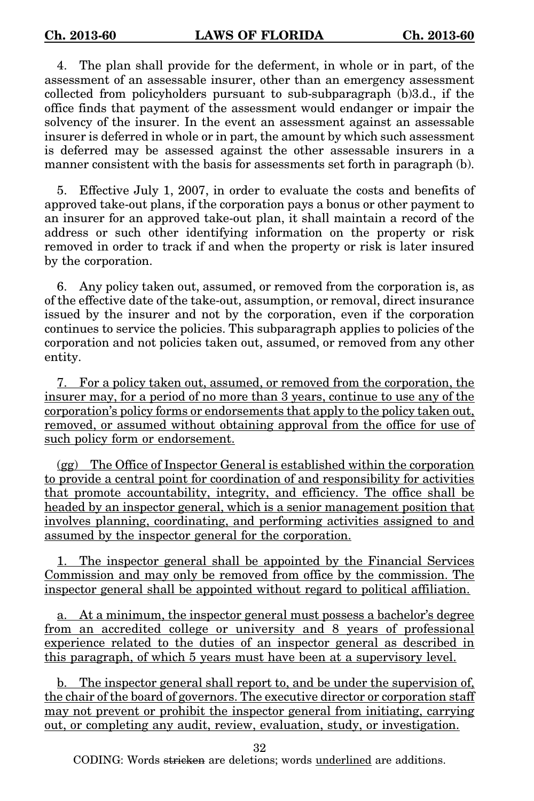4. The plan shall provide for the deferment, in whole or in part, of the assessment of an assessable insurer, other than an emergency assessment collected from policyholders pursuant to sub-subparagraph (b)3.d., if the office finds that payment of the assessment would endanger or impair the solvency of the insurer. In the event an assessment against an assessable insurer is deferred in whole or in part, the amount by which such assessment is deferred may be assessed against the other assessable insurers in a manner consistent with the basis for assessments set forth in paragraph (b).

5. Effective July 1, 2007, in order to evaluate the costs and benefits of approved take-out plans, if the corporation pays a bonus or other payment to an insurer for an approved take-out plan, it shall maintain a record of the address or such other identifying information on the property or risk removed in order to track if and when the property or risk is later insured by the corporation.

6. Any policy taken out, assumed, or removed from the corporation is, as of the effective date of the take-out, assumption, or removal, direct insurance issued by the insurer and not by the corporation, even if the corporation continues to service the policies. This subparagraph applies to policies of the corporation and not policies taken out, assumed, or removed from any other entity.

7. For a policy taken out, assumed, or removed from the corporation, the insurer may, for a period of no more than 3 years, continue to use any of the corporation's policy forms or endorsements that apply to the policy taken out, removed, or assumed without obtaining approval from the office for use of such policy form or endorsement.

(gg) The Office of Inspector General is established within the corporation to provide a central point for coordination of and responsibility for activities that promote accountability, integrity, and efficiency. The office shall be headed by an inspector general, which is a senior management position that involves planning, coordinating, and performing activities assigned to and assumed by the inspector general for the corporation.

1. The inspector general shall be appointed by the Financial Services Commission and may only be removed from office by the commission. The inspector general shall be appointed without regard to political affiliation.

a. At a minimum, the inspector general must possess a bachelor's degree from an accredited college or university and 8 years of professional experience related to the duties of an inspector general as described in this paragraph, of which 5 years must have been at a supervisory level.

b. The inspector general shall report to, and be under the supervision of, the chair of the board of governors. The executive director or corporation staff may not prevent or prohibit the inspector general from initiating, carrying out, or completing any audit, review, evaluation, study, or investigation.

32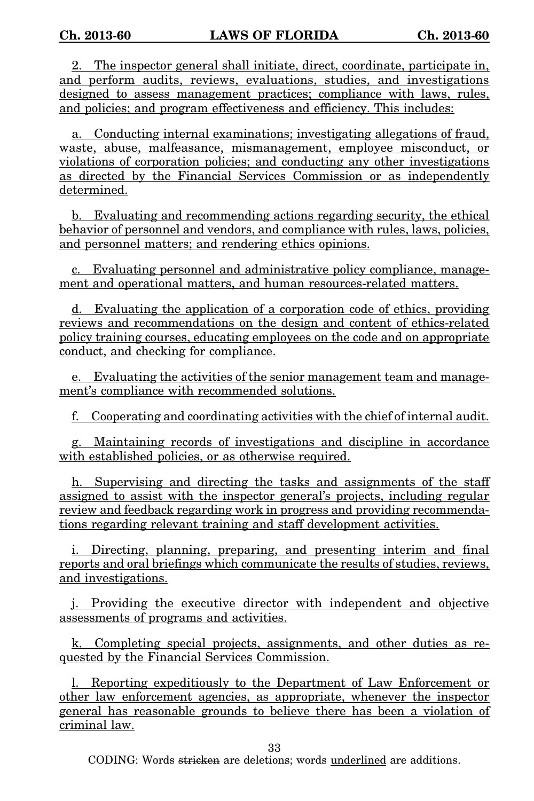2. The inspector general shall initiate, direct, coordinate, participate in, and perform audits, reviews, evaluations, studies, and investigations designed to assess management practices; compliance with laws, rules, and policies; and program effectiveness and efficiency. This includes:

a. Conducting internal examinations; investigating allegations of fraud, waste, abuse, malfeasance, mismanagement, employee misconduct, or violations of corporation policies; and conducting any other investigations as directed by the Financial Services Commission or as independently determined.

b. Evaluating and recommending actions regarding security, the ethical behavior of personnel and vendors, and compliance with rules, laws, policies, and personnel matters; and rendering ethics opinions.

c. Evaluating personnel and administrative policy compliance, management and operational matters, and human resources-related matters.

d. Evaluating the application of a corporation code of ethics, providing reviews and recommendations on the design and content of ethics-related policy training courses, educating employees on the code and on appropriate conduct, and checking for compliance.

e. Evaluating the activities of the senior management team and management's compliance with recommended solutions.

f. Cooperating and coordinating activities with the chief of internal audit.

g. Maintaining records of investigations and discipline in accordance with established policies, or as otherwise required.

h. Supervising and directing the tasks and assignments of the staff assigned to assist with the inspector general's projects, including regular review and feedback regarding work in progress and providing recommendations regarding relevant training and staff development activities.

i. Directing, planning, preparing, and presenting interim and final reports and oral briefings which communicate the results of studies, reviews, and investigations.

j. Providing the executive director with independent and objective assessments of programs and activities.

k. Completing special projects, assignments, and other duties as requested by the Financial Services Commission.

l. Reporting expeditiously to the Department of Law Enforcement or other law enforcement agencies, as appropriate, whenever the inspector general has reasonable grounds to believe there has been a violation of criminal law.

33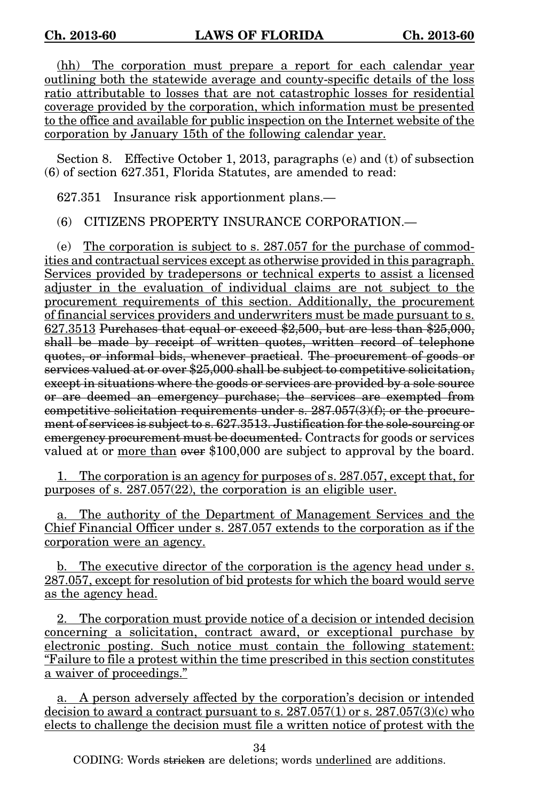(hh) The corporation must prepare a report for each calendar year outlining both the statewide average and county-specific details of the loss ratio attributable to losses that are not catastrophic losses for residential coverage provided by the corporation, which information must be presented to the office and available for public inspection on the Internet website of the corporation by January 15th of the following calendar year.

Section 8. Effective October 1, 2013, paragraphs (e) and (t) of subsection (6) of section 627.351, Florida Statutes, are amended to read:

627.351 Insurance risk apportionment plans.—

(6) CITIZENS PROPERTY INSURANCE CORPORATION.—

(e) The corporation is subject to s. 287.057 for the purchase of commodities and contractual services except as otherwise provided in this paragraph. Services provided by tradepersons or technical experts to assist a licensed adjuster in the evaluation of individual claims are not subject to the procurement requirements of this section. Additionally, the procurement of financial services providers and underwriters must be made pursuant to s. 627.3513 Purchases that equal or exceed \$2,500, but are less than \$25,000, shall be made by receipt of written quotes, written record of telephone quotes, or informal bids, whenever practical. The procurement of goods or services valued at or over \$25,000 shall be subject to competitive solicitation, except in situations where the goods or services are provided by a sole source or are deemed an emergency purchase; the services are exempted from competitive solicitation requirements under s.  $287.057(3)(f)$ ; or the procurement of services is subject to s. 627.3513. Justification for the sole-sourcing or emergency procurement must be documented. Contracts for goods or services valued at or more than over \$100,000 are subject to approval by the board.

1. The corporation is an agency for purposes of s. 287.057, except that, for purposes of s. 287.057(22), the corporation is an eligible user.

The authority of the Department of Management Services and the Chief Financial Officer under s. 287.057 extends to the corporation as if the corporation were an agency.

b. The executive director of the corporation is the agency head under s. 287.057, except for resolution of bid protests for which the board would serve as the agency head.

2. The corporation must provide notice of a decision or intended decision concerning a solicitation, contract award, or exceptional purchase by electronic posting. Such notice must contain the following statement: "Failure to file a protest within the time prescribed in this section constitutes a waiver of proceedings."

a. A person adversely affected by the corporation's decision or intended decision to award a contract pursuant to s.  $287.057(1)$  or s.  $287.057(3)(c)$  who elects to challenge the decision must file a written notice of protest with the

34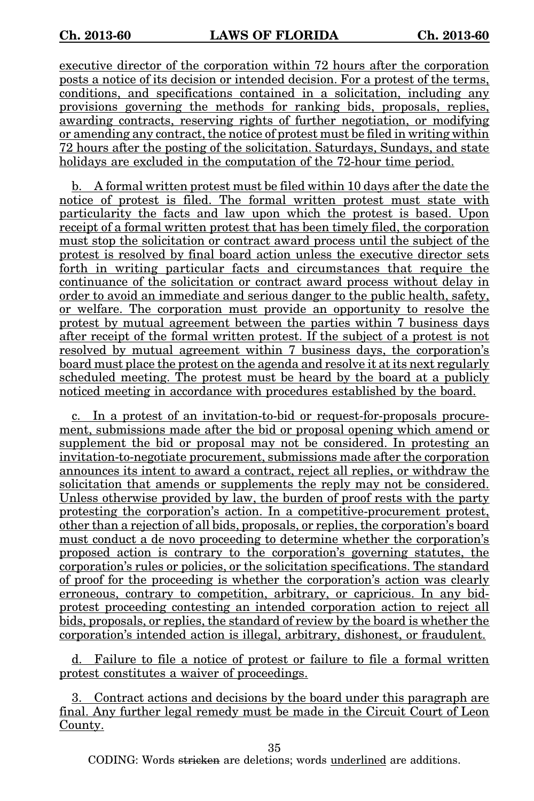executive director of the corporation within 72 hours after the corporation posts a notice of its decision or intended decision. For a protest of the terms, conditions, and specifications contained in a solicitation, including any provisions governing the methods for ranking bids, proposals, replies, awarding contracts, reserving rights of further negotiation, or modifying or amending any contract, the notice of protest must be filed in writing within 72 hours after the posting of the solicitation. Saturdays, Sundays, and state holidays are excluded in the computation of the 72-hour time period.

b. A formal written protest must be filed within 10 days after the date the notice of protest is filed. The formal written protest must state with particularity the facts and law upon which the protest is based. Upon receipt of a formal written protest that has been timely filed, the corporation must stop the solicitation or contract award process until the subject of the protest is resolved by final board action unless the executive director sets forth in writing particular facts and circumstances that require the continuance of the solicitation or contract award process without delay in order to avoid an immediate and serious danger to the public health, safety, or welfare. The corporation must provide an opportunity to resolve the protest by mutual agreement between the parties within 7 business days after receipt of the formal written protest. If the subject of a protest is not resolved by mutual agreement within 7 business days, the corporation's board must place the protest on the agenda and resolve it at its next regularly scheduled meeting. The protest must be heard by the board at a publicly noticed meeting in accordance with procedures established by the board.

c. In a protest of an invitation-to-bid or request-for-proposals procurement, submissions made after the bid or proposal opening which amend or supplement the bid or proposal may not be considered. In protesting an invitation-to-negotiate procurement, submissions made after the corporation announces its intent to award a contract, reject all replies, or withdraw the solicitation that amends or supplements the reply may not be considered. Unless otherwise provided by law, the burden of proof rests with the party protesting the corporation's action. In a competitive-procurement protest, other than a rejection of all bids, proposals, or replies, the corporation's board must conduct a de novo proceeding to determine whether the corporation's proposed action is contrary to the corporation's governing statutes, the corporation's rules or policies, or the solicitation specifications. The standard of proof for the proceeding is whether the corporation's action was clearly erroneous, contrary to competition, arbitrary, or capricious. In any bidprotest proceeding contesting an intended corporation action to reject all bids, proposals, or replies, the standard of review by the board is whether the corporation's intended action is illegal, arbitrary, dishonest, or fraudulent.

d. Failure to file a notice of protest or failure to file a formal written protest constitutes a waiver of proceedings.

3. Contract actions and decisions by the board under this paragraph are final. Any further legal remedy must be made in the Circuit Court of Leon County.

35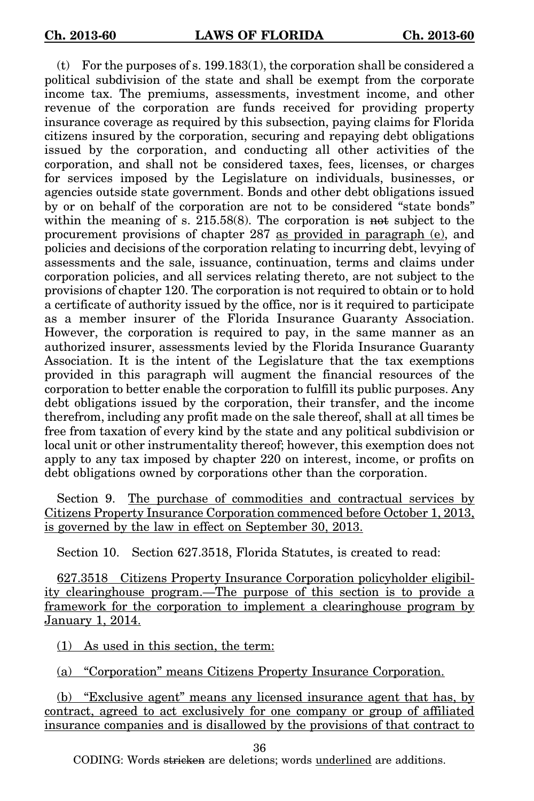(t) For the purposes of s. 199.183(1), the corporation shall be considered a political subdivision of the state and shall be exempt from the corporate income tax. The premiums, assessments, investment income, and other revenue of the corporation are funds received for providing property insurance coverage as required by this subsection, paying claims for Florida citizens insured by the corporation, securing and repaying debt obligations issued by the corporation, and conducting all other activities of the corporation, and shall not be considered taxes, fees, licenses, or charges for services imposed by the Legislature on individuals, businesses, or agencies outside state government. Bonds and other debt obligations issued by or on behalf of the corporation are not to be considered "state bonds" within the meaning of s. 215.58(8). The corporation is not subject to the procurement provisions of chapter 287 as provided in paragraph (e), and policies and decisions of the corporation relating to incurring debt, levying of assessments and the sale, issuance, continuation, terms and claims under corporation policies, and all services relating thereto, are not subject to the provisions of chapter 120. The corporation is not required to obtain or to hold a certificate of authority issued by the office, nor is it required to participate as a member insurer of the Florida Insurance Guaranty Association. However, the corporation is required to pay, in the same manner as an authorized insurer, assessments levied by the Florida Insurance Guaranty Association. It is the intent of the Legislature that the tax exemptions provided in this paragraph will augment the financial resources of the corporation to better enable the corporation to fulfill its public purposes. Any debt obligations issued by the corporation, their transfer, and the income therefrom, including any profit made on the sale thereof, shall at all times be free from taxation of every kind by the state and any political subdivision or local unit or other instrumentality thereof; however, this exemption does not apply to any tax imposed by chapter 220 on interest, income, or profits on debt obligations owned by corporations other than the corporation.

Section 9. The purchase of commodities and contractual services by Citizens Property Insurance Corporation commenced before October 1, 2013, is governed by the law in effect on September 30, 2013.

Section 10. Section 627.3518, Florida Statutes, is created to read:

627.3518 Citizens Property Insurance Corporation policyholder eligibility clearinghouse program.—The purpose of this section is to provide a framework for the corporation to implement a clearinghouse program by January 1, 2014.

(1) As used in this section, the term:

(a) "Corporation" means Citizens Property Insurance Corporation.

(b) "Exclusive agent" means any licensed insurance agent that has, by contract, agreed to act exclusively for one company or group of affiliated insurance companies and is disallowed by the provisions of that contract to

36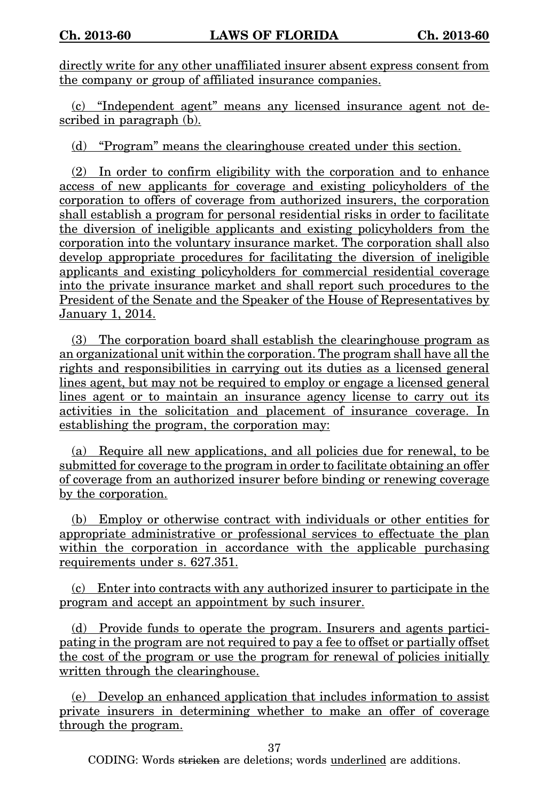directly write for any other unaffiliated insurer absent express consent from the company or group of affiliated insurance companies.

(c) "Independent agent" means any licensed insurance agent not described in paragraph (b).

(d) "Program" means the clearinghouse created under this section.

(2) In order to confirm eligibility with the corporation and to enhance access of new applicants for coverage and existing policyholders of the corporation to offers of coverage from authorized insurers, the corporation shall establish a program for personal residential risks in order to facilitate the diversion of ineligible applicants and existing policyholders from the corporation into the voluntary insurance market. The corporation shall also develop appropriate procedures for facilitating the diversion of ineligible applicants and existing policyholders for commercial residential coverage into the private insurance market and shall report such procedures to the President of the Senate and the Speaker of the House of Representatives by January 1, 2014.

(3) The corporation board shall establish the clearinghouse program as an organizational unit within the corporation. The program shall have all the rights and responsibilities in carrying out its duties as a licensed general lines agent, but may not be required to employ or engage a licensed general lines agent or to maintain an insurance agency license to carry out its activities in the solicitation and placement of insurance coverage. In establishing the program, the corporation may:

(a) Require all new applications, and all policies due for renewal, to be submitted for coverage to the program in order to facilitate obtaining an offer of coverage from an authorized insurer before binding or renewing coverage by the corporation.

(b) Employ or otherwise contract with individuals or other entities for appropriate administrative or professional services to effectuate the plan within the corporation in accordance with the applicable purchasing requirements under s. 627.351.

(c) Enter into contracts with any authorized insurer to participate in the program and accept an appointment by such insurer.

(d) Provide funds to operate the program. Insurers and agents participating in the program are not required to pay a fee to offset or partially offset the cost of the program or use the program for renewal of policies initially written through the clearinghouse.

(e) Develop an enhanced application that includes information to assist private insurers in determining whether to make an offer of coverage through the program.

37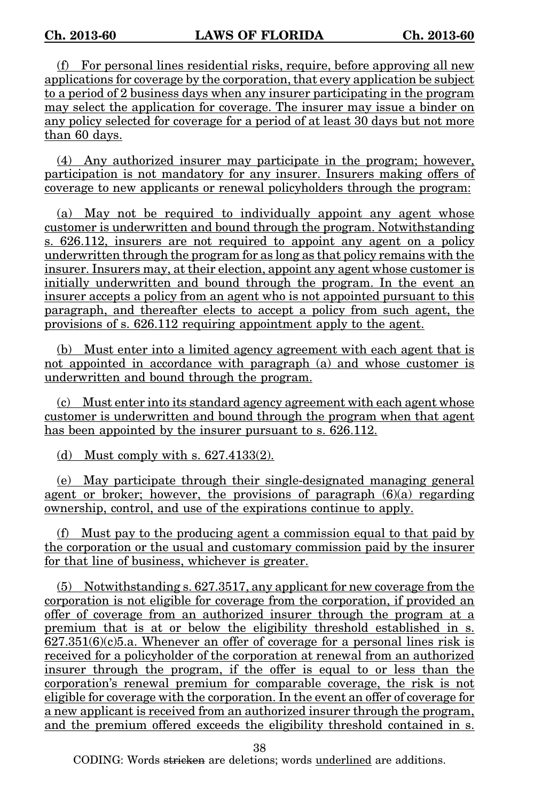(f) For personal lines residential risks, require, before approving all new applications for coverage by the corporation, that every application be subject to a period of 2 business days when any insurer participating in the program may select the application for coverage. The insurer may issue a binder on any policy selected for coverage for a period of at least 30 days but not more than 60 days.

(4) Any authorized insurer may participate in the program; however, participation is not mandatory for any insurer. Insurers making offers of coverage to new applicants or renewal policyholders through the program:

(a) May not be required to individually appoint any agent whose customer is underwritten and bound through the program. Notwithstanding s. 626.112, insurers are not required to appoint any agent on a policy underwritten through the program for as long as that policy remains with the insurer. Insurers may, at their election, appoint any agent whose customer is initially underwritten and bound through the program. In the event an insurer accepts a policy from an agent who is not appointed pursuant to this paragraph, and thereafter elects to accept a policy from such agent, the provisions of s. 626.112 requiring appointment apply to the agent.

(b) Must enter into a limited agency agreement with each agent that is not appointed in accordance with paragraph (a) and whose customer is underwritten and bound through the program.

(c) Must enter into its standard agency agreement with each agent whose customer is underwritten and bound through the program when that agent has been appointed by the insurer pursuant to s. 626.112.

(d) Must comply with s.  $627.4133(2)$ .

(e) May participate through their single-designated managing general agent or broker; however, the provisions of paragraph  $(6)(a)$  regarding ownership, control, and use of the expirations continue to apply.

(f) Must pay to the producing agent a commission equal to that paid by the corporation or the usual and customary commission paid by the insurer for that line of business, whichever is greater.

(5) Notwithstanding s. 627.3517, any applicant for new coverage from the corporation is not eligible for coverage from the corporation, if provided an offer of coverage from an authorized insurer through the program at a premium that is at or below the eligibility threshold established in s.  $627.351(6)(c)5.a.$  Whenever an offer of coverage for a personal lines risk is received for a policyholder of the corporation at renewal from an authorized insurer through the program, if the offer is equal to or less than the corporation's renewal premium for comparable coverage, the risk is not eligible for coverage with the corporation. In the event an offer of coverage for a new applicant is received from an authorized insurer through the program, and the premium offered exceeds the eligibility threshold contained in s.

38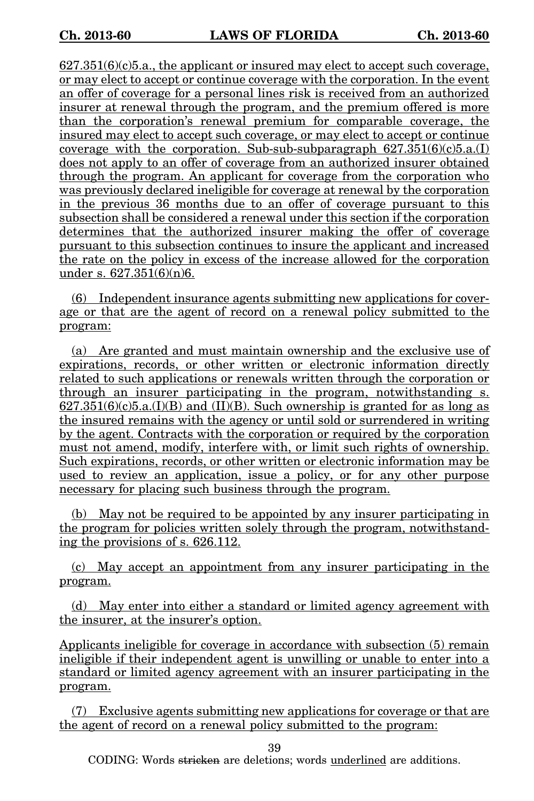$627.351(6)(c)5.a.,$  the applicant or insured may elect to accept such coverage, or may elect to accept or continue coverage with the corporation. In the event an offer of coverage for a personal lines risk is received from an authorized insurer at renewal through the program, and the premium offered is more than the corporation's renewal premium for comparable coverage, the insured may elect to accept such coverage, or may elect to accept or continue coverage with the corporation. Sub-sub-subparagraph  $627.351(6)(c)5.a.(I)$ does not apply to an offer of coverage from an authorized insurer obtained through the program. An applicant for coverage from the corporation who was previously declared ineligible for coverage at renewal by the corporation in the previous 36 months due to an offer of coverage pursuant to this subsection shall be considered a renewal under this section if the corporation determines that the authorized insurer making the offer of coverage pursuant to this subsection continues to insure the applicant and increased the rate on the policy in excess of the increase allowed for the corporation under s.  $627.351(6)(n)6$ .

(6) Independent insurance agents submitting new applications for coverage or that are the agent of record on a renewal policy submitted to the program:

(a) Are granted and must maintain ownership and the exclusive use of expirations, records, or other written or electronic information directly related to such applications or renewals written through the corporation or through an insurer participating in the program, notwithstanding s.  $627.351(6)(c)5.a.(I)(B)$  and  $(II)(B)$ . Such ownership is granted for as long as the insured remains with the agency or until sold or surrendered in writing by the agent. Contracts with the corporation or required by the corporation must not amend, modify, interfere with, or limit such rights of ownership. Such expirations, records, or other written or electronic information may be used to review an application, issue a policy, or for any other purpose necessary for placing such business through the program.

(b) May not be required to be appointed by any insurer participating in the program for policies written solely through the program, notwithstanding the provisions of s. 626.112.

(c) May accept an appointment from any insurer participating in the program.

(d) May enter into either a standard or limited agency agreement with the insurer, at the insurer's option.

Applicants ineligible for coverage in accordance with subsection (5) remain ineligible if their independent agent is unwilling or unable to enter into a standard or limited agency agreement with an insurer participating in the program.

(7) Exclusive agents submitting new applications for coverage or that are the agent of record on a renewal policy submitted to the program:

39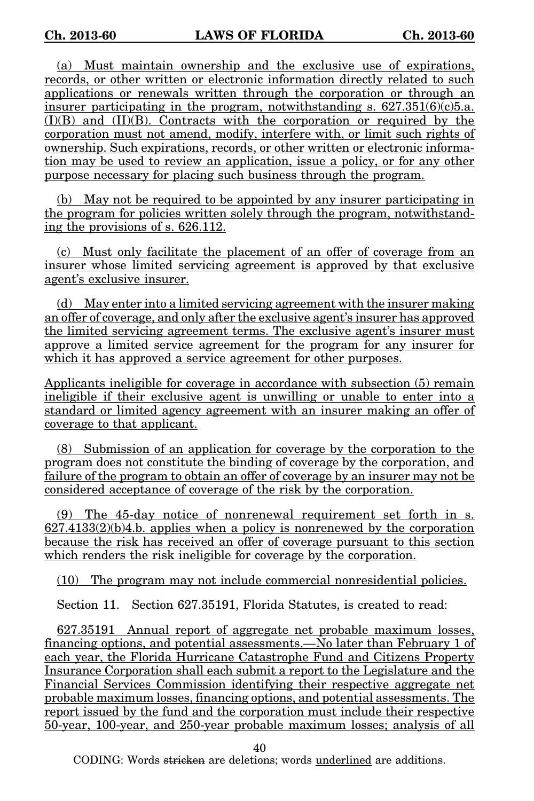(a) Must maintain ownership and the exclusive use of expirations, records, or other written or electronic information directly related to such applications or renewals written through the corporation or through an insurer participating in the program, notwithstanding s.  $627.351(6)(c)5.a$ .  $(I)(B)$  and  $(II)(B)$ . Contracts with the corporation or required by the corporation must not amend, modify, interfere with, or limit such rights of ownership. Such expirations, records, or other written or electronic information may be used to review an application, issue a policy, or for any other purpose necessary for placing such business through the program.

(b) May not be required to be appointed by any insurer participating in the program for policies written solely through the program, notwithstanding the provisions of s. 626.112.

(c) Must only facilitate the placement of an offer of coverage from an insurer whose limited servicing agreement is approved by that exclusive agent's exclusive insurer.

(d) May enter into a limited servicing agreement with the insurer making an offer of coverage, and only after the exclusive agent's insurer has approved the limited servicing agreement terms. The exclusive agent's insurer must approve a limited service agreement for the program for any insurer for which it has approved a service agreement for other purposes.

Applicants ineligible for coverage in accordance with subsection (5) remain ineligible if their exclusive agent is unwilling or unable to enter into a standard or limited agency agreement with an insurer making an offer of coverage to that applicant.

(8) Submission of an application for coverage by the corporation to the program does not constitute the binding of coverage by the corporation, and failure of the program to obtain an offer of coverage by an insurer may not be considered acceptance of coverage of the risk by the corporation.

(9) The 45-day notice of nonrenewal requirement set forth in s.  $627.4133(2)(b)4.b.$  applies when a policy is nonrenewed by the corporation because the risk has received an offer of coverage pursuant to this section which renders the risk ineligible for coverage by the corporation.

(10) The program may not include commercial nonresidential policies.

Section 11. Section 627.35191, Florida Statutes, is created to read:

627.35191 Annual report of aggregate net probable maximum losses, financing options, and potential assessments.—No later than February 1 of each year, the Florida Hurricane Catastrophe Fund and Citizens Property Insurance Corporation shall each submit a report to the Legislature and the Financial Services Commission identifying their respective aggregate net probable maximum losses, financing options, and potential assessments. The report issued by the fund and the corporation must include their respective 50-year, 100-year, and 250-year probable maximum losses; analysis of all

40